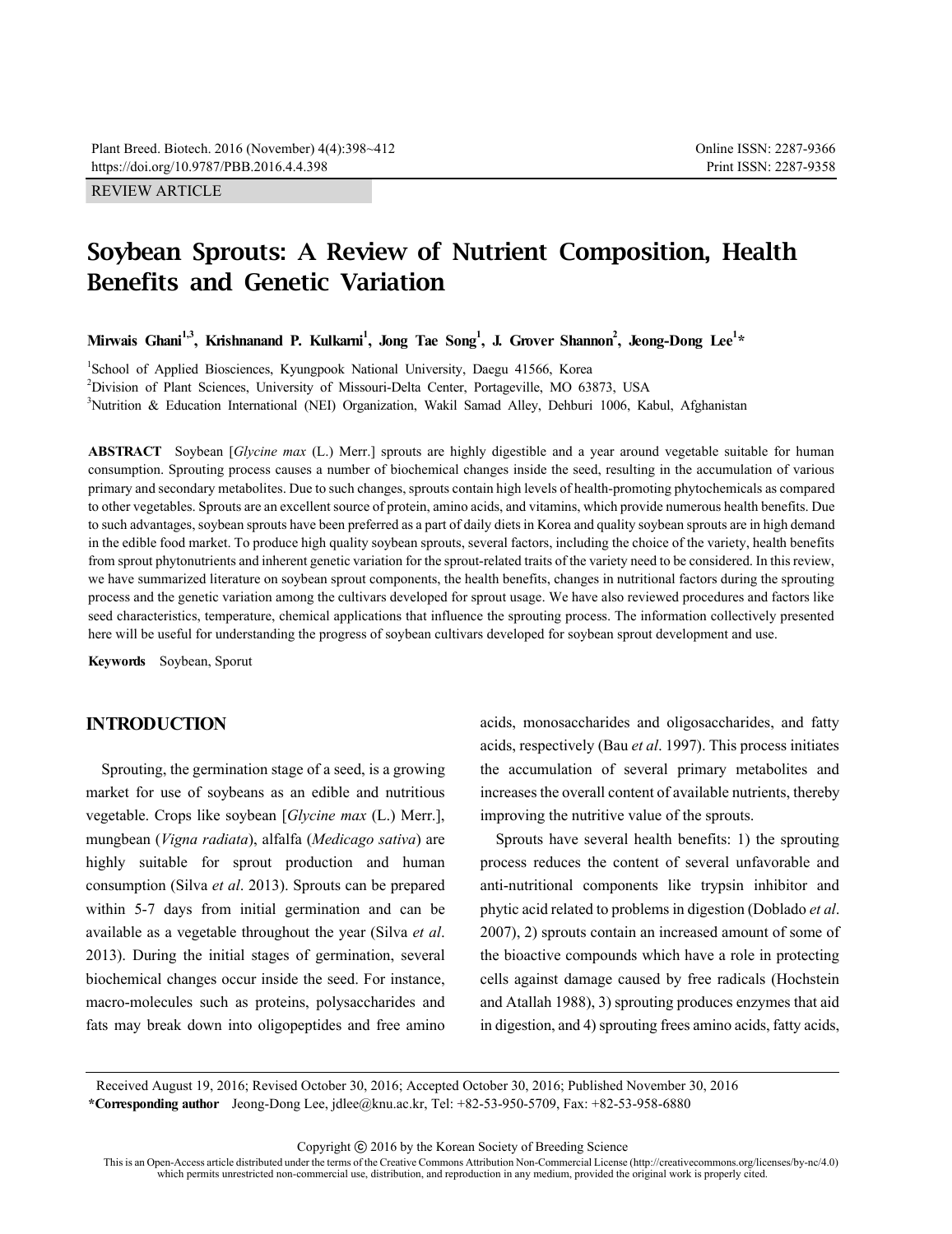# **Soybean Sprouts: A Review of Nutrient Composition, Health Benefits and Genetic Variation**

Mirwais Ghani<sup>1,3</sup>, Krishnanand P. Kulkarni<sup>1</sup>, Jong Tae Song<sup>1</sup>, J. Grover Shannon<sup>2</sup>, Jeong-Dong Lee<sup>1</sup>\*

<sup>1</sup>School of Applied Biosciences, Kyungpook National University, Daegu 41566, Korea 2 Division of Plant Sciences, University of Missouri-Delta Center, Portageville, MO 63873, USA <sup>3</sup>Nutrition & Education International (NEI) Organization, Wakil Samad Alley, Dehburi 1006, Kabul, Afghanistan

**ABSTRACT** Soybean [*Glycine max* (L.) Merr.] sprouts are highly digestible and a year around vegetable suitable for human consumption. Sprouting process causes a number of biochemical changes inside the seed, resulting in the accumulation of various primary and secondary metabolites. Due to such changes, sprouts contain high levels of health-promoting phytochemicals as compared to other vegetables. Sprouts are an excellent source of protein, amino acids, and vitamins, which provide numerous health benefits. Due to such advantages, soybean sprouts have been preferred as a part of daily diets in Korea and quality soybean sprouts are in high demand in the edible food market. To produce high quality soybean sprouts, several factors, including the choice of the variety, health benefits from sprout phytonutrients and inherent genetic variation for the sprout-related traits of the variety need to be considered. In this review, we have summarized literature on soybean sprout components, the health benefits, changes in nutritional factors during the sprouting process and the genetic variation among the cultivars developed for sprout usage. We have also reviewed procedures and factors like seed characteristics, temperature, chemical applications that influence the sprouting process. The information collectively presented here will be useful for understanding the progress of soybean cultivars developed for soybean sprout development and use.

**Keywords** Soybean, Sporut

### **INTRODUCTION**

Sprouting, the germination stage of a seed, is a growing market for use of soybeans as an edible and nutritious vegetable. Crops like soybean [*Glycine max* (L.) Merr.], mungbean (*Vigna radiata*), alfalfa (*Medicago sativa*) are highly suitable for sprout production and human consumption (Silva *et al*. 2013). Sprouts can be prepared within 5-7 days from initial germination and can be available as a vegetable throughout the year (Silva *et al*. 2013). During the initial stages of germination, several biochemical changes occur inside the seed. For instance, macro-molecules such as proteins, polysaccharides and fats may break down into oligopeptides and free amino acids, monosaccharides and oligosaccharides, and fatty acids, respectively (Bau *et al*. 1997). This process initiates the accumulation of several primary metabolites and increases the overall content of available nutrients, thereby improving the nutritive value of the sprouts.

Sprouts have several health benefits: 1) the sprouting process reduces the content of several unfavorable and anti-nutritional components like trypsin inhibitor and phytic acid related to problems in digestion (Doblado *et al*. 2007), 2) sprouts contain an increased amount of some of the bioactive compounds which have a role in protecting cells against damage caused by free radicals (Hochstein and Atallah 1988), 3) sprouting produces enzymes that aid in digestion, and 4) sprouting frees amino acids, fatty acids,

Received August 19, 2016; Revised October 30, 2016; Accepted October 30, 2016; Published November 30, 2016 **\*Corresponding author** Jeong-Dong Lee, jdlee@knu.ac.kr, Tel: +82-53-950-5709, Fax: +82-53-958-6880

Copyright ⓒ 2016 by the Korean Society of Breeding Science

This is an Open-Access article distributed under the terms of the Creative Commons Attribution Non-Commercial License (http://creativecommons.org/licenses/by-nc/4.0) which permits unrestricted non-commercial use, distribut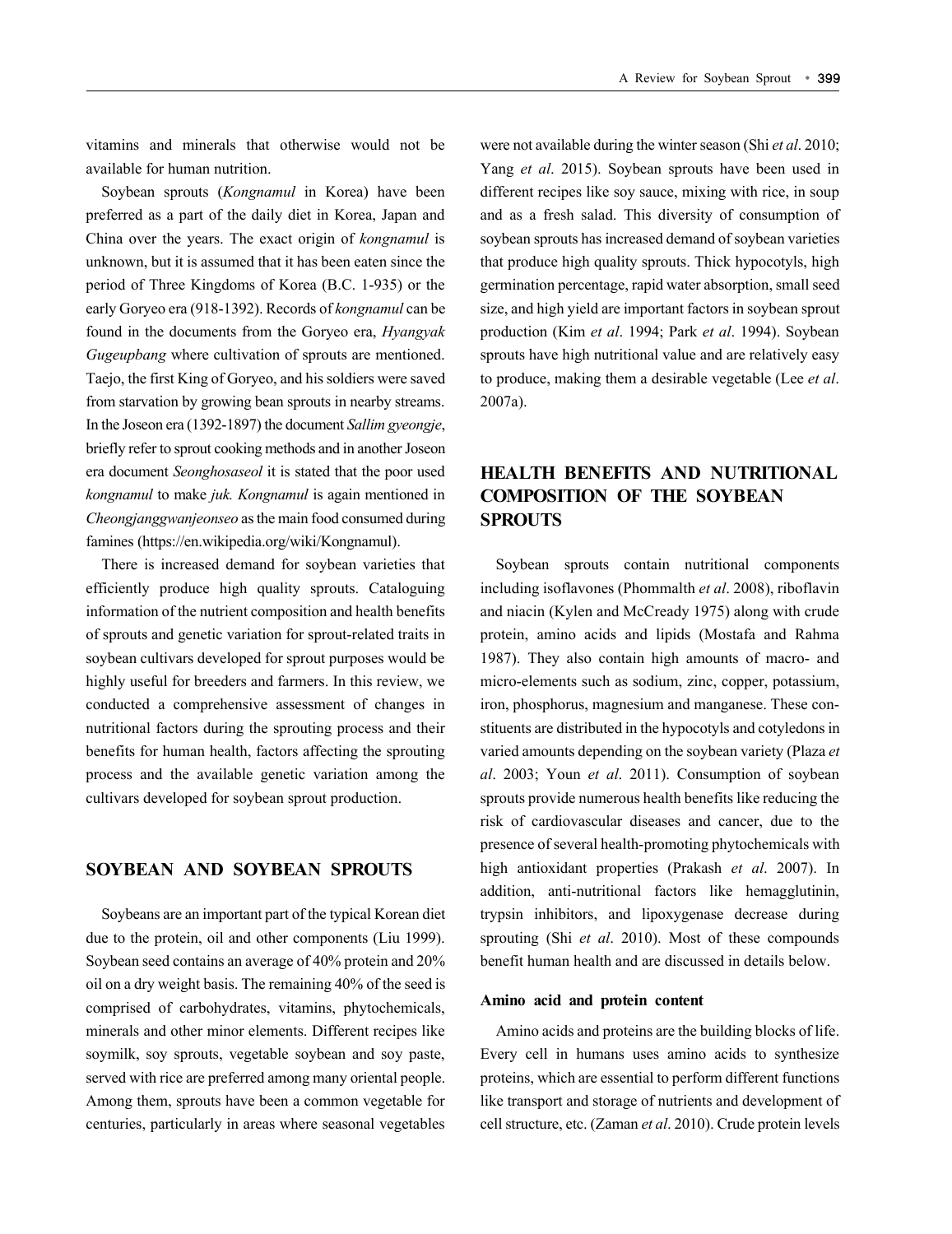vitamins and minerals that otherwise would not be available for human nutrition.

Soybean sprouts (*Kongnamul* in Korea) have been preferred as a part of the daily diet in Korea, Japan and China over the years. The exact origin of *kongnamul* is unknown, but it is assumed that it has been eaten since the period of Three Kingdoms of Korea (B.C. 1-935) or the early Goryeo era (918-1392). Records of *kongnamul* can be found in the documents from the Goryeo era, *Hyangyak Gugeupbang* where cultivation of sprouts are mentioned. Taejo, the first King of Goryeo, and his soldiers were saved from starvation by growing bean sprouts in nearby streams. In the Joseon era (1392-1897) the document *Sallim gyeongje*, briefly refer to sprout cooking methods and in another Joseon era document *Seonghosaseol* it is stated that the poor used *kongnamul* to make *juk. Kongnamul* is again mentioned in *Cheongjanggwanjeonseo* as the main food consumed during famines (https://en.wikipedia.org/wiki/Kongnamul).

There is increased demand for soybean varieties that efficiently produce high quality sprouts. Cataloguing information of the nutrient composition and health benefits of sprouts and genetic variation for sprout-related traits in soybean cultivars developed for sprout purposes would be highly useful for breeders and farmers. In this review, we conducted a comprehensive assessment of changes in nutritional factors during the sprouting process and their benefits for human health, factors affecting the sprouting process and the available genetic variation among the cultivars developed for soybean sprout production.

## **SOYBEAN AND SOYBEAN SPROUTS**

Soybeans are an important part of the typical Korean diet due to the protein, oil and other components (Liu 1999). Soybean seed contains an average of 40% protein and 20% oil on a dry weight basis. The remaining 40% of the seed is comprised of carbohydrates, vitamins, phytochemicals, minerals and other minor elements. Different recipes like soymilk, soy sprouts, vegetable soybean and soy paste, served with rice are preferred among many oriental people. Among them, sprouts have been a common vegetable for centuries, particularly in areas where seasonal vegetables

were not available during the winter season (Shi *et al*. 2010; Yang *et al*. 2015). Soybean sprouts have been used in different recipes like soy sauce, mixing with rice, in soup and as a fresh salad. This diversity of consumption of soybean sprouts has increased demand of soybean varieties that produce high quality sprouts. Thick hypocotyls, high germination percentage, rapid water absorption, small seed size, and high yield are important factors in soybean sprout production (Kim *et al*. 1994; Park *et al*. 1994). Soybean sprouts have high nutritional value and are relatively easy to produce, making them a desirable vegetable (Lee *et al*. 2007a).

# **HEALTH BENEFITS AND NUTRITIONAL COMPOSITION OF THE SOYBEAN SPROUTS**

Soybean sprouts contain nutritional components including isoflavones (Phommalth *et al*. 2008), riboflavin and niacin (Kylen and McCready 1975) along with crude protein, amino acids and lipids (Mostafa and Rahma 1987). They also contain high amounts of macro- and micro-elements such as sodium, zinc, copper, potassium, iron, phosphorus, magnesium and manganese. These constituents are distributed in the hypocotyls and cotyledons in varied amounts depending on the soybean variety (Plaza *et al*. 2003; Youn *et al*. 2011). Consumption of soybean sprouts provide numerous health benefits like reducing the risk of cardiovascular diseases and cancer, due to the presence of several health-promoting phytochemicals with high antioxidant properties (Prakash *et al*. 2007). In addition, anti-nutritional factors like hemagglutinin, trypsin inhibitors, and lipoxygenase decrease during sprouting (Shi *et al*. 2010). Most of these compounds benefit human health and are discussed in details below.

#### **Amino acid and protein content**

Amino acids and proteins are the building blocks of life. Every cell in humans uses amino acids to synthesize proteins, which are essential to perform different functions like transport and storage of nutrients and development of cell structure, etc. (Zaman *et al*. 2010). Crude protein levels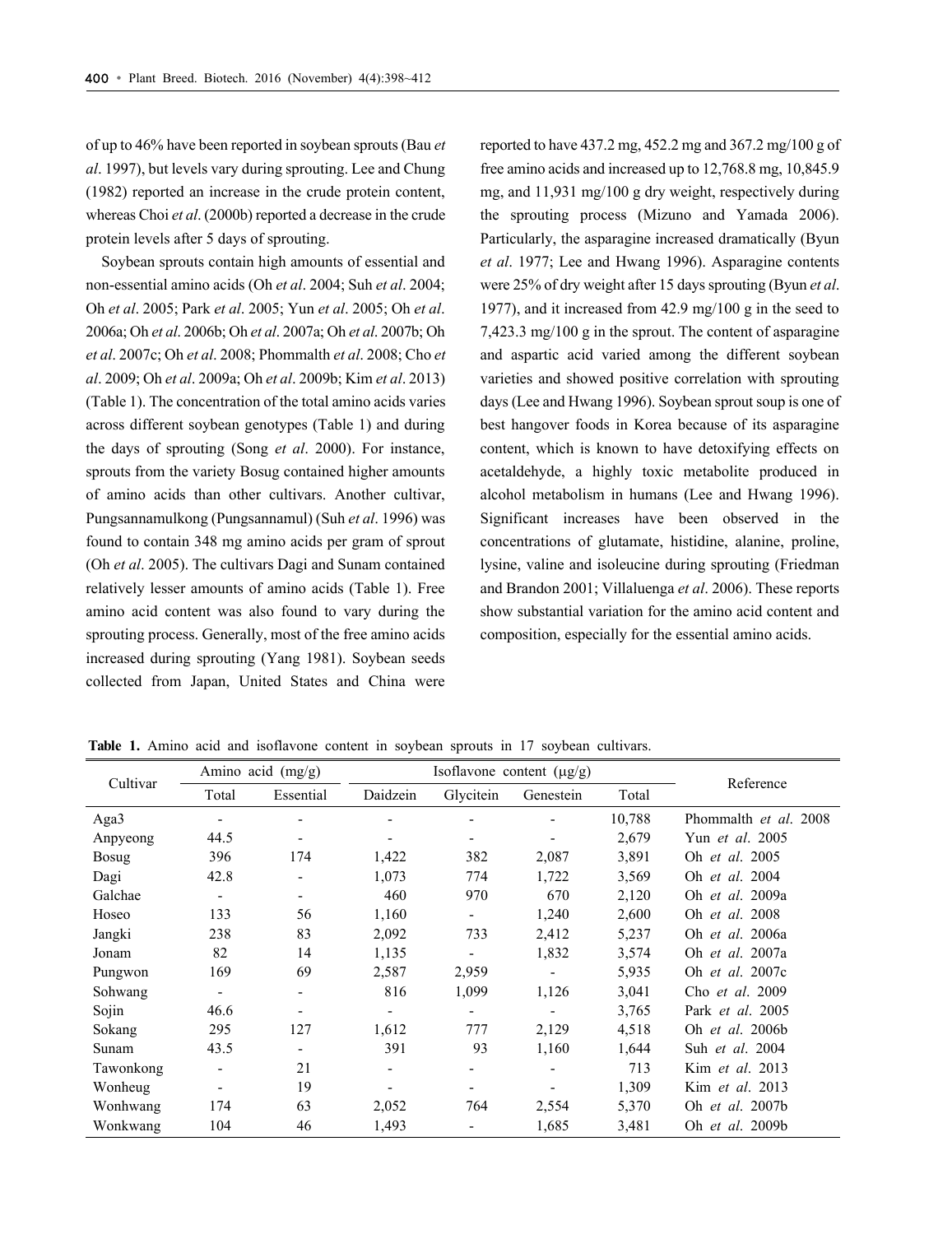of up to 46% have been reported in soybean sprouts (Bau *et al*. 1997), but levels vary during sprouting. Lee and Chung (1982) reported an increase in the crude protein content, whereas Choi *et al*. (2000b) reported a decrease in the crude protein levels after 5 days of sprouting.

Soybean sprouts contain high amounts of essential and non-essential amino acids (Oh *et al*. 2004; Suh *et al*. 2004; Oh *et al*. 2005; Park *et al*. 2005; Yun *et al*. 2005; Oh *et al*. 2006a; Oh *et al*. 2006b; Oh *et al*. 2007a; Oh *et al*. 2007b; Oh *et al*. 2007c; Oh *et al*. 2008; Phommalth *et al*. 2008; Cho *et al*. 2009; Oh *et al*. 2009a; Oh *et al*. 2009b; Kim *et al*. 2013) (Table 1). The concentration of the total amino acids varies across different soybean genotypes (Table 1) and during the days of sprouting (Song *et al*. 2000). For instance, sprouts from the variety Bosug contained higher amounts of amino acids than other cultivars. Another cultivar, Pungsannamulkong (Pungsannamul) (Suh *et al*. 1996) was found to contain 348 mg amino acids per gram of sprout (Oh *et al*. 2005). The cultivars Dagi and Sunam contained relatively lesser amounts of amino acids (Table 1). Free amino acid content was also found to vary during the sprouting process. Generally, most of the free amino acids increased during sprouting (Yang 1981). Soybean seeds collected from Japan, United States and China were

reported to have 437.2 mg, 452.2 mg and 367.2 mg/100 g of free amino acids and increased up to 12,768.8 mg, 10,845.9 mg, and 11,931 mg/100 g dry weight, respectively during the sprouting process (Mizuno and Yamada 2006). Particularly, the asparagine increased dramatically (Byun *et al*. 1977; Lee and Hwang 1996). Asparagine contents were 25% of dry weight after 15 days sprouting (Byun *et al*. 1977), and it increased from 42.9 mg/100 g in the seed to 7,423.3 mg/100 g in the sprout. The content of asparagine and aspartic acid varied among the different soybean varieties and showed positive correlation with sprouting days (Lee and Hwang 1996). Soybean sprout soup is one of best hangover foods in Korea because of its asparagine content, which is known to have detoxifying effects on acetaldehyde, a highly toxic metabolite produced in alcohol metabolism in humans (Lee and Hwang 1996). Significant increases have been observed in the concentrations of glutamate, histidine, alanine, proline, lysine, valine and isoleucine during sprouting (Friedman and Brandon 2001; Villaluenga *et al*. 2006). These reports show substantial variation for the amino acid content and composition, especially for the essential amino acids.

|              |                          | Amino acid (mg/g)        |          |                          | Isoflavone content $(\mu g/g)$ |        | Reference               |
|--------------|--------------------------|--------------------------|----------|--------------------------|--------------------------------|--------|-------------------------|
| Cultivar     | Total                    | Essential                | Daidzein | Glycitein                | Genestein                      | Total  |                         |
| Aga3         |                          | $\overline{\phantom{a}}$ |          |                          |                                | 10,788 | Phommalth et al. 2008   |
| Anpyeong     | 44.5                     |                          |          |                          |                                | 2,679  | Yun <i>et al.</i> 2005  |
| <b>Bosug</b> | 396                      | 174                      | 1,422    | 382                      | 2,087                          | 3,891  | Oh et al. 2005          |
| Dagi         | 42.8                     | $\overline{\phantom{a}}$ | 1,073    | 774                      | 1,722                          | 3,569  | Oh et al. 2004          |
| Galchae      | $\overline{\phantom{a}}$ | $\overline{\phantom{a}}$ | 460      | 970                      | 670                            | 2,120  | Oh et al. 2009a         |
| Hoseo        | 133                      | 56                       | 1,160    | $\blacksquare$           | 1,240                          | 2,600  | Oh et al. 2008          |
| Jangki       | 238                      | 83                       | 2,092    | 733                      | 2,412                          | 5,237  | Oh et al. 2006a         |
| Jonam        | 82                       | 14                       | 1,135    | $\overline{\phantom{a}}$ | 1,832                          | 3,574  | Oh et al. 2007a         |
| Pungwon      | 169                      | 69                       | 2,587    | 2,959                    | $\overline{\phantom{a}}$       | 5,935  | Oh et al. 2007c         |
| Sohwang      | $\overline{\phantom{a}}$ | $\overline{\phantom{a}}$ | 816      | 1,099                    | 1,126                          | 3,041  | Cho et al. 2009         |
| Sojin        | 46.6                     |                          |          | ٠                        | $\overline{\phantom{a}}$       | 3,765  | Park <i>et al.</i> 2005 |
| Sokang       | 295                      | 127                      | 1,612    | 777                      | 2,129                          | 4,518  | Oh et al. 2006b         |
| Sunam        | 43.5                     | $\overline{\phantom{a}}$ | 391      | 93                       | 1,160                          | 1,644  | Suh <i>et al.</i> 2004  |
| Tawonkong    | $\overline{\phantom{a}}$ | 21                       |          |                          | $\overline{\phantom{a}}$       | 713    | Kim <i>et al.</i> 2013  |
| Wonheug      | $\overline{\phantom{a}}$ | 19                       |          | ٠                        |                                | 1,309  | Kim <i>et al.</i> 2013  |
| Wonhwang     | 174                      | 63                       | 2,052    | 764                      | 2,554                          | 5,370  | Oh et al. 2007b         |
| Wonkwang     | 104                      | 46                       | 1,493    | -                        | 1,685                          | 3,481  | Oh et al. 2009b         |

**Table 1.** Amino acid and isoflavone content in soybean sprouts in 17 soybean cultivars.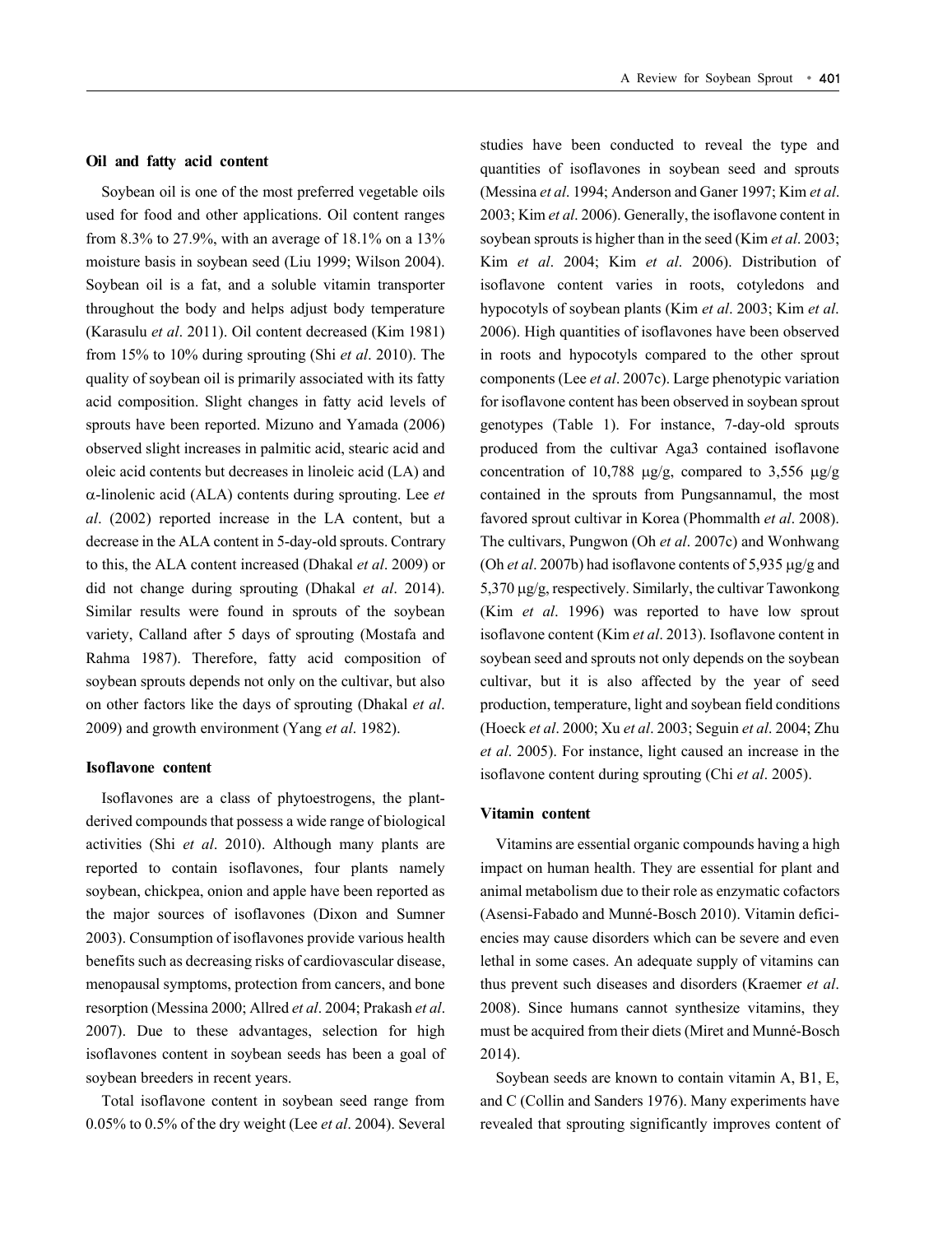#### **Oil and fatty acid content**

Soybean oil is one of the most preferred vegetable oils used for food and other applications. Oil content ranges from 8.3% to 27.9%, with an average of 18.1% on a 13% moisture basis in soybean seed (Liu 1999; Wilson 2004). Soybean oil is a fat, and a soluble vitamin transporter throughout the body and helps adjust body temperature (Karasulu *et al*. 2011). Oil content decreased (Kim 1981) from 15% to 10% during sprouting (Shi *et al*. 2010). The quality of soybean oil is primarily associated with its fatty acid composition. Slight changes in fatty acid levels of sprouts have been reported. Mizuno and Yamada (2006) observed slight increases in palmitic acid, stearic acid and oleic acid contents but decreases in linoleic acid (LA) and -linolenic acid (ALA) contents during sprouting. Lee *et al*. (2002) reported increase in the LA content, but a decrease in the ALA content in 5-day-old sprouts. Contrary to this, the ALA content increased (Dhakal *et al*. 2009) or did not change during sprouting (Dhakal *et al*. 2014). Similar results were found in sprouts of the soybean variety, Calland after 5 days of sprouting (Mostafa and Rahma 1987). Therefore, fatty acid composition of soybean sprouts depends not only on the cultivar, but also on other factors like the days of sprouting (Dhakal *et al*. 2009) and growth environment (Yang *et al*. 1982).

#### **Isoflavone content**

Isoflavones are a class of phytoestrogens, the plantderived compounds that possess a wide range of biological activities (Shi *et al*. 2010). Although many plants are reported to contain isoflavones, four plants namely soybean, chickpea, onion and apple have been reported as the major sources of isoflavones (Dixon and Sumner 2003). Consumption of isoflavones provide various health benefits such as decreasing risks of cardiovascular disease, menopausal symptoms, protection from cancers, and bone resorption (Messina 2000; Allred *et al*. 2004; Prakash *et al*. 2007). Due to these advantages, selection for high isoflavones content in soybean seeds has been a goal of soybean breeders in recent years.

Total isoflavone content in soybean seed range from 0.05% to 0.5% of the dry weight (Lee *et al*. 2004). Several studies have been conducted to reveal the type and quantities of isoflavones in soybean seed and sprouts (Messina *et al*. 1994; Anderson and Ganer 1997; Kim *et al*. 2003; Kim *et al*. 2006). Generally, the isoflavone content in soybean sprouts is higher than in the seed (Kim *et al*. 2003; Kim *et al*. 2004; Kim *et al*. 2006). Distribution of isoflavone content varies in roots, cotyledons and hypocotyls of soybean plants (Kim *et al*. 2003; Kim *et al*. 2006). High quantities of isoflavones have been observed in roots and hypocotyls compared to the other sprout components (Lee *et al*. 2007c). Large phenotypic variation for isoflavone content has been observed in soybean sprout genotypes (Table 1). For instance, 7-day-old sprouts produced from the cultivar Aga3 contained isoflavone concentration of 10,788  $\mu$ g/g, compared to 3,556  $\mu$ g/g contained in the sprouts from Pungsannamul, the most favored sprout cultivar in Korea (Phommalth *et al*. 2008). The cultivars, Pungwon (Oh *et al*. 2007c) and Wonhwang (Oh *et al.* 2007b) had isoflavone contents of 5,935  $\mu$ g/g and  $5,370 \mu$ g/g, respectively. Similarly, the cultivar Tawonkong (Kim *et al*. 1996) was reported to have low sprout isoflavone content (Kim *et al*. 2013). Isoflavone content in soybean seed and sprouts not only depends on the soybean cultivar, but it is also affected by the year of seed production, temperature, light and soybean field conditions (Hoeck *et al*. 2000; Xu *et al*. 2003; Seguin *et al*. 2004; Zhu *et al*. 2005). For instance, light caused an increase in the isoflavone content during sprouting (Chi *et al*. 2005).

#### **Vitamin content**

Vitamins are essential organic compounds having a high impact on human health. They are essential for plant and animal metabolism due to their role as enzymatic cofactors (Asensi-Fabado and Munné-Bosch 2010). Vitamin deficiencies may cause disorders which can be severe and even lethal in some cases. An adequate supply of vitamins can thus prevent such diseases and disorders (Kraemer *et al*. 2008). Since humans cannot synthesize vitamins, they must be acquired from their diets (Miret and Munné-Bosch 2014).

Soybean seeds are known to contain vitamin A, B1, E, and C (Collin and Sanders 1976). Many experiments have revealed that sprouting significantly improves content of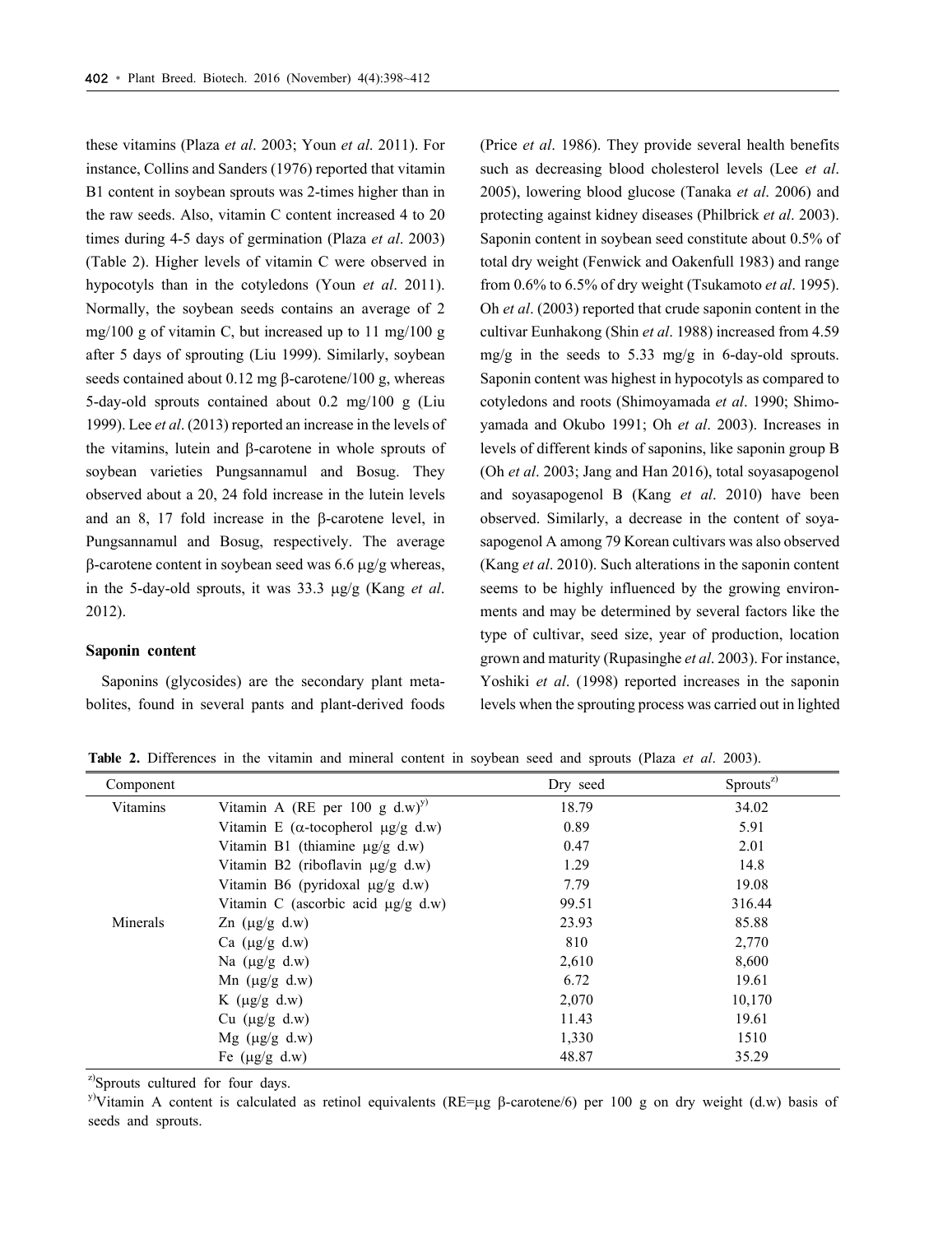these vitamins (Plaza *et al*. 2003; Youn *et al*. 2011). For instance, Collins and Sanders (1976) reported that vitamin B1 content in soybean sprouts was 2-times higher than in the raw seeds. Also, vitamin C content increased 4 to 20 times during 4-5 days of germination (Plaza *et al*. 2003) (Table 2). Higher levels of vitamin C were observed in hypocotyls than in the cotyledons (Youn *et al*. 2011). Normally, the soybean seeds contains an average of 2 mg/100 g of vitamin C, but increased up to 11 mg/100 g after 5 days of sprouting (Liu 1999). Similarly, soybean seeds contained about  $0.12$  mg  $\beta$ -carotene/100 g, whereas 5-day-old sprouts contained about 0.2 mg/100 g (Liu 1999). Lee *et al*. (2013) reported an increase in the levels of the vitamins, lutein and  $\beta$ -carotene in whole sprouts of soybean varieties Pungsannamul and Bosug. They observed about a 20, 24 fold increase in the lutein levels and an  $8$ , 17 fold increase in the  $\beta$ -carotene level, in Pungsannamul and Bosug, respectively. The average  $\beta$ -carotene content in soybean seed was 6.6  $\mu$ g/g whereas, in the 5-day-old sprouts, it was 33.3  $\mu$ g/g (Kang *et al.*) 2012).

#### **Saponin content**

Saponins (glycosides) are the secondary plant metabolites, found in several pants and plant-derived foods (Price *et al*. 1986). They provide several health benefits such as decreasing blood cholesterol levels (Lee *et al*. 2005), lowering blood glucose (Tanaka *et al*. 2006) and protecting against kidney diseases (Philbrick *et al*. 2003). Saponin content in soybean seed constitute about 0.5% of total dry weight (Fenwick and Oakenfull 1983) and range from 0.6% to 6.5% of dry weight (Tsukamoto *et al*. 1995). Oh *et al*. (2003) reported that crude saponin content in the cultivar Eunhakong (Shin *et al*. 1988) increased from 4.59 mg/g in the seeds to 5.33 mg/g in 6-day-old sprouts. Saponin content was highest in hypocotyls as compared to cotyledons and roots (Shimoyamada *et al*. 1990; Shimoyamada and Okubo 1991; Oh *et al*. 2003). Increases in levels of different kinds of saponins, like saponin group B (Oh *et al*. 2003; Jang and Han 2016), total soyasapogenol and soyasapogenol B (Kang *et al*. 2010) have been observed. Similarly, a decrease in the content of soyasapogenol A among 79 Korean cultivars was also observed (Kang *et al*. 2010). Such alterations in the saponin content seems to be highly influenced by the growing environments and may be determined by several factors like the type of cultivar, seed size, year of production, location grown and maturity (Rupasinghe *et al*. 2003). For instance, Yoshiki *et al*. (1998) reported increases in the saponin levels when the sprouting process was carried out in lighted

Component Dry seed Sprouts<sup>z)</sup> Vitamins Vitamin A (RE per 100 g d.w)<sup>y)</sup> 18.79 18.79 34.02 Vitamin E ( $\alpha$ -tocopherol  $\mu$ g/g d.w) 0.89 5.91 Vitamin B1 (thiamine  $\mu g/g$  d.w) 0.47 2.01 Vitamin B2 (riboflavin  $\mu$ g/g d.w) 1.29 1.29 14.8 Vitamin B6 (pyridoxal  $\mu$ g/g d.w)  $7.79$  7.79 19.08 Vitamin C (ascorbic acid  $\mu$ g/g d.w) 99.51 316.44 Minerals  $Zn \left(\mu g /g \, d.w\right)$  23.93 85.88 Ca  $(\mu g /g \ d.w)$  810 2,770 Na  $(\mu g/g \, d.w)$  2,610 8,600 Mn ( $\mu$ g/g d.w) 6.72 19.61 K ( $\mu$ g/g d.w) 2,070 10,170 Cu  $(\mu g/g \, d.w)$  11.43 19.61  $Mg \text{ (µg/g d.w)}$  1,330 1510 Fe ( $\mu$ g/g d.w) 48.87 35.29

**Table 2.** Differences in the vitamin and mineral content in soybean seed and sprouts (Plaza *et al*. 2003).

<sup>z)</sup>Sprouts cultured for four days.

y)Vitamin A content is calculated as retinol equivalents (RE=µg  $\beta$ -carotene/6) per 100 g on dry weight (d.w) basis of seeds and sprouts.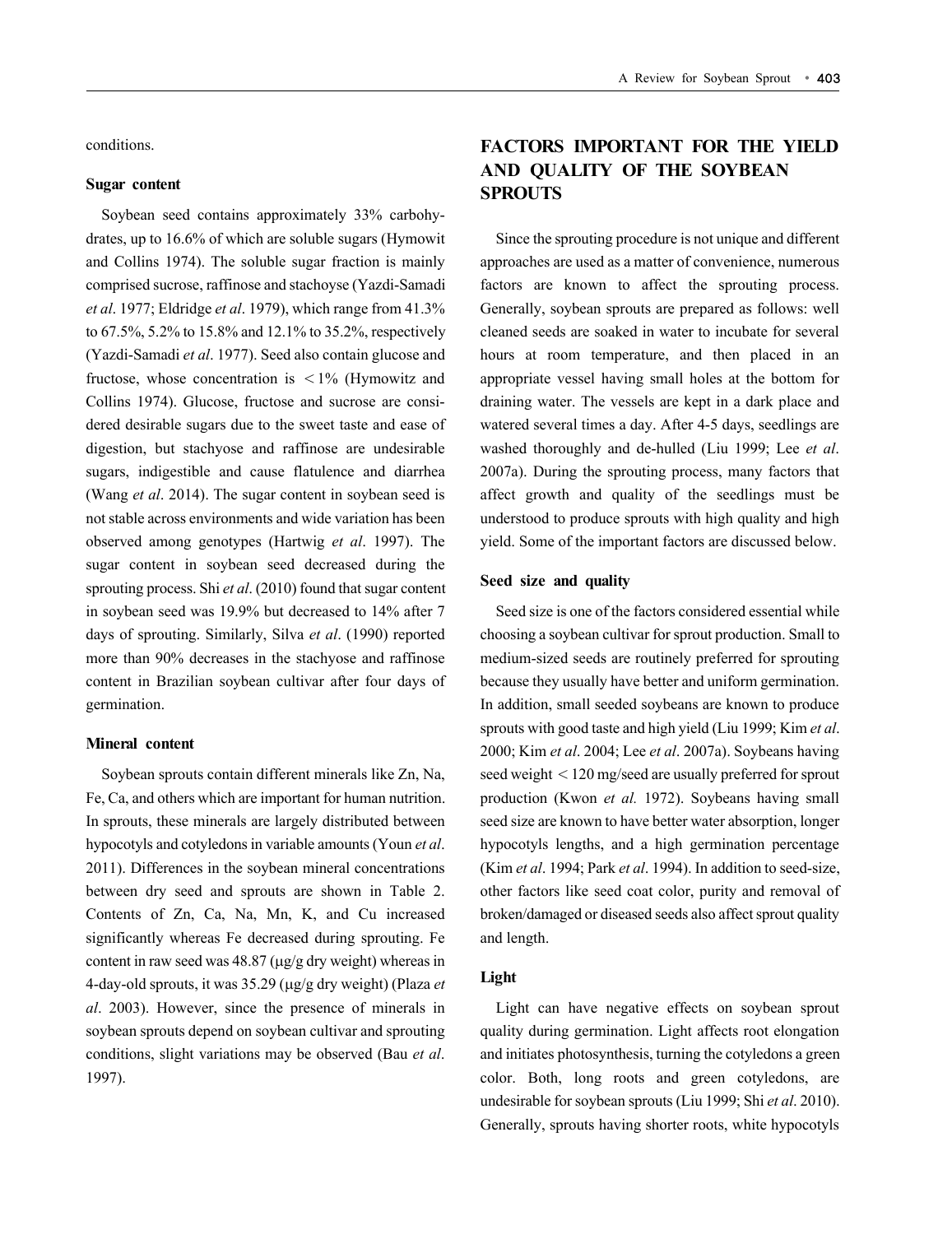#### **Sugar content**

Soybean seed contains approximately 33% carbohydrates, up to 16.6% of which are soluble sugars (Hymowit and Collins 1974). The soluble sugar fraction is mainly comprised sucrose, raffinose and stachoyse (Yazdi-Samadi *et al*. 1977; Eldridge *et al*. 1979), which range from 41.3% to 67.5%, 5.2% to 15.8% and 12.1% to 35.2%, respectively (Yazdi-Samadi *et al*. 1977). Seed also contain glucose and fructose, whose concentration is  $\langle 1\% \rangle$  (Hymowitz and Collins 1974). Glucose, fructose and sucrose are considered desirable sugars due to the sweet taste and ease of digestion, but stachyose and raffinose are undesirable sugars, indigestible and cause flatulence and diarrhea (Wang *et al*. 2014). The sugar content in soybean seed is not stable across environments and wide variation has been observed among genotypes (Hartwig *et al*. 1997). The sugar content in soybean seed decreased during the sprouting process. Shi *et al*. (2010) found that sugar content in soybean seed was 19.9% but decreased to 14% after 7 days of sprouting. Similarly, Silva *et al*. (1990) reported more than 90% decreases in the stachyose and raffinose content in Brazilian soybean cultivar after four days of germination.

#### **Mineral content**

Soybean sprouts contain different minerals like Zn, Na, Fe, Ca, and others which are important for human nutrition. In sprouts, these minerals are largely distributed between hypocotyls and cotyledons in variable amounts (Youn *et al*. 2011). Differences in the soybean mineral concentrations between dry seed and sprouts are shown in Table 2. Contents of Zn, Ca, Na, Mn, K, and Cu increased significantly whereas Fe decreased during sprouting. Fe content in raw seed was  $48.87 \, (\mu g/g \, dry \, weight)$  whereas in 4-day-old sprouts, it was 35.29 ( $\mu$ g/g dry weight) (Plaza *et al*. 2003). However, since the presence of minerals in soybean sprouts depend on soybean cultivar and sprouting conditions, slight variations may be observed (Bau *et al*. 1997).

# **FACTORS IMPORTANT FOR THE YIELD AND QUALITY OF THE SOYBEAN SPROUTS**

Since the sprouting procedure is not unique and different approaches are used as a matter of convenience, numerous factors are known to affect the sprouting process. Generally, soybean sprouts are prepared as follows: well cleaned seeds are soaked in water to incubate for several hours at room temperature, and then placed in an appropriate vessel having small holes at the bottom for draining water. The vessels are kept in a dark place and watered several times a day. After 4-5 days, seedlings are washed thoroughly and de-hulled (Liu 1999; Lee *et al*. 2007a). During the sprouting process, many factors that affect growth and quality of the seedlings must be understood to produce sprouts with high quality and high yield. Some of the important factors are discussed below.

#### **Seed size and quality**

Seed size is one of the factors considered essential while choosing a soybean cultivar for sprout production. Small to medium-sized seeds are routinely preferred for sprouting because they usually have better and uniform germination. In addition, small seeded soybeans are known to produce sprouts with good taste and high yield (Liu 1999; Kim *et al*. 2000; Kim *et al*. 2004; Lee *et al*. 2007a). Soybeans having seed weight <120 mg/seed are usually preferred for sprout production (Kwon *et al.* 1972). Soybeans having small seed size are known to have better water absorption, longer hypocotyls lengths, and a high germination percentage (Kim *et al*. 1994; Park *et al*. 1994). In addition to seed-size, other factors like seed coat color, purity and removal of broken/damaged or diseased seeds also affect sprout quality and length.

#### **Light**

Light can have negative effects on soybean sprout quality during germination. Light affects root elongation and initiates photosynthesis, turning the cotyledons a green color. Both, long roots and green cotyledons, are undesirable for soybean sprouts (Liu 1999; Shi *et al*. 2010). Generally, sprouts having shorter roots, white hypocotyls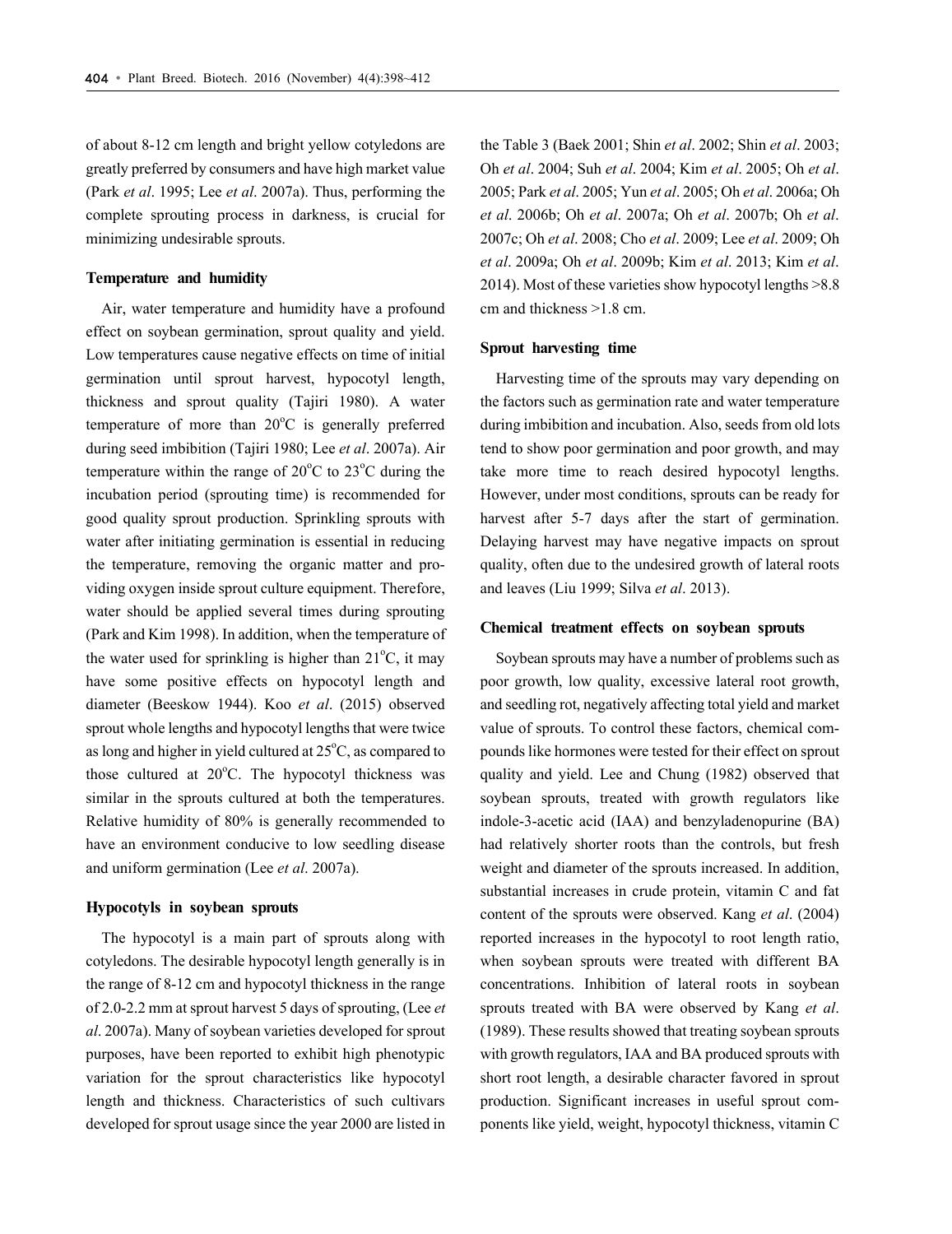of about 8-12 cm length and bright yellow cotyledons are greatly preferred by consumers and have high market value (Park *et al*. 1995; Lee *et al*. 2007a). Thus, performing the complete sprouting process in darkness, is crucial for minimizing undesirable sprouts.

#### **Temperature and humidity**

Air, water temperature and humidity have a profound effect on soybean germination, sprout quality and yield. Low temperatures cause negative effects on time of initial germination until sprout harvest, hypocotyl length, thickness and sprout quality (Tajiri 1980). A water temperature of more than  $20^{\circ}$ C is generally preferred during seed imbibition (Tajiri 1980; Lee *et al*. 2007a). Air temperature within the range of  $20^{\circ}$ C to  $23^{\circ}$ C during the incubation period (sprouting time) is recommended for good quality sprout production. Sprinkling sprouts with water after initiating germination is essential in reducing the temperature, removing the organic matter and providing oxygen inside sprout culture equipment. Therefore, water should be applied several times during sprouting (Park and Kim 1998). In addition, when the temperature of the water used for sprinkling is higher than  $21^{\circ}$ C, it may have some positive effects on hypocotyl length and diameter (Beeskow 1944). Koo *et al*. (2015) observed sprout whole lengths and hypocotyl lengths that were twice as long and higher in yield cultured at  $25^{\circ}$ C, as compared to those cultured at  $20^{\circ}$ C. The hypocotyl thickness was similar in the sprouts cultured at both the temperatures. Relative humidity of 80% is generally recommended to have an environment conducive to low seedling disease and uniform germination (Lee *et al*. 2007a).

#### **Hypocotyls in soybean sprouts**

The hypocotyl is a main part of sprouts along with cotyledons. The desirable hypocotyl length generally is in the range of 8-12 cm and hypocotyl thickness in the range of 2.0-2.2 mm at sprout harvest 5 days of sprouting, (Lee *et al*. 2007a). Many of soybean varieties developed for sprout purposes, have been reported to exhibit high phenotypic variation for the sprout characteristics like hypocotyl length and thickness. Characteristics of such cultivars developed for sprout usage since the year 2000 are listed in

the Table 3 (Baek 2001; Shin *et al*. 2002; Shin *et al*. 2003; Oh *et al*. 2004; Suh *et al*. 2004; Kim *et al*. 2005; Oh *et al*. 2005; Park *et al*. 2005; Yun *et al*. 2005; Oh *et al*. 2006a; Oh *et al*. 2006b; Oh *et al*. 2007a; Oh *et al*. 2007b; Oh *et al*. 2007c; Oh *et al*. 2008; Cho *et al*. 2009; Lee *et al*. 2009; Oh *et al*. 2009a; Oh *et al*. 2009b; Kim *et al*. 2013; Kim *et al*. 2014). Most of these varieties show hypocotyl lengths >8.8 cm and thickness >1.8 cm.

#### **Sprout harvesting time**

Harvesting time of the sprouts may vary depending on the factors such as germination rate and water temperature during imbibition and incubation. Also, seeds from old lots tend to show poor germination and poor growth, and may take more time to reach desired hypocotyl lengths. However, under most conditions, sprouts can be ready for harvest after 5-7 days after the start of germination. Delaying harvest may have negative impacts on sprout quality, often due to the undesired growth of lateral roots and leaves (Liu 1999; Silva *et al*. 2013).

#### **Chemical treatment effects on soybean sprouts**

Soybean sprouts may have a number of problems such as poor growth, low quality, excessive lateral root growth, and seedling rot, negatively affecting total yield and market value of sprouts. To control these factors, chemical compounds like hormones were tested for their effect on sprout quality and yield. Lee and Chung (1982) observed that soybean sprouts, treated with growth regulators like indole-3-acetic acid (IAA) and benzyladenopurine (BA) had relatively shorter roots than the controls, but fresh weight and diameter of the sprouts increased. In addition, substantial increases in crude protein, vitamin C and fat content of the sprouts were observed. Kang *et al*. (2004) reported increases in the hypocotyl to root length ratio, when soybean sprouts were treated with different BA concentrations. Inhibition of lateral roots in soybean sprouts treated with BA were observed by Kang *et al*. (1989). These results showed that treating soybean sprouts with growth regulators, IAA and BA produced sprouts with short root length, a desirable character favored in sprout production. Significant increases in useful sprout components like yield, weight, hypocotyl thickness, vitamin C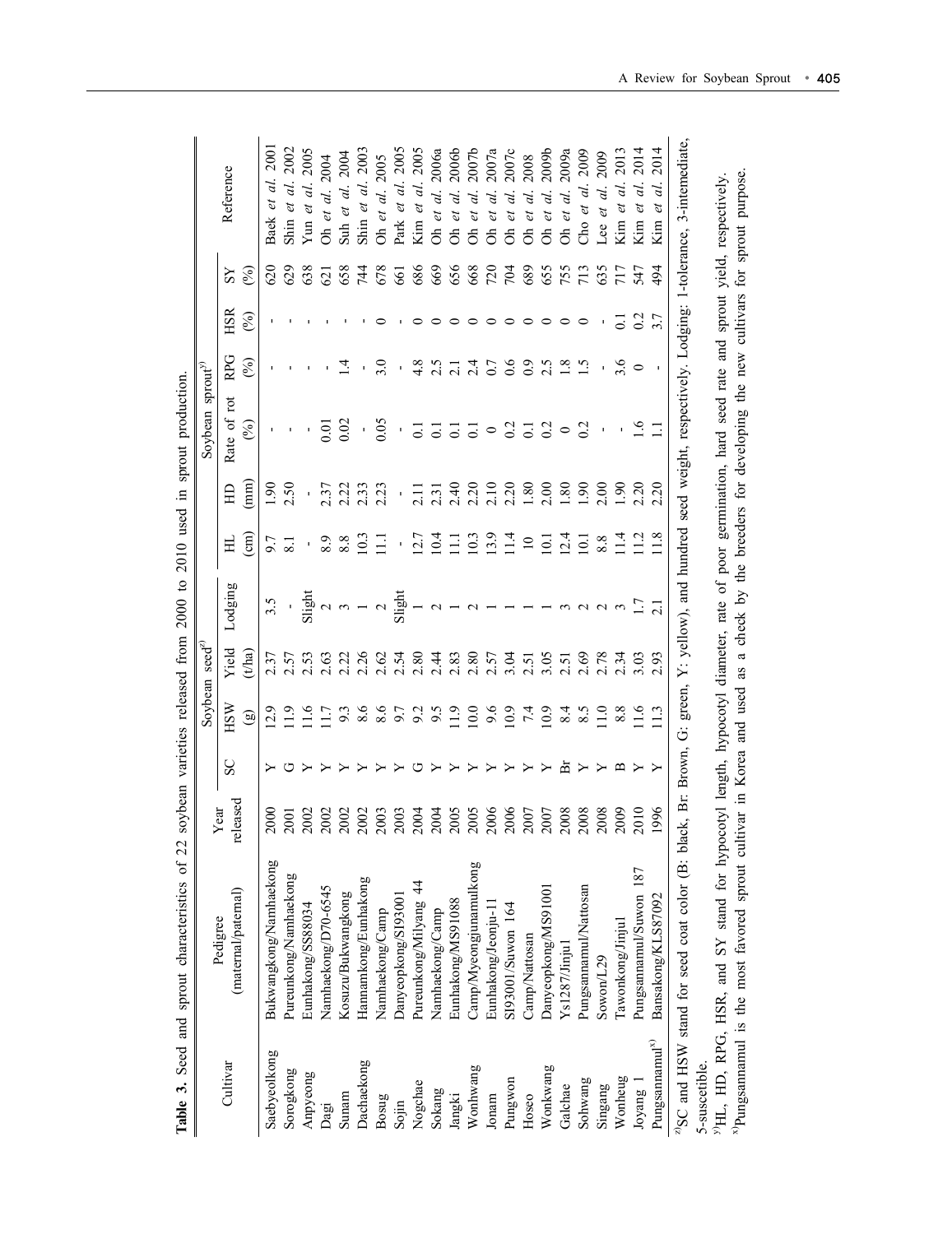|                          |                                                                                                                                                                            |                                                   |    | Soybean                            | $seed^{z}$        |                                                              |                                             |                       | Soybean                                                               | $\text{sprout}^{\mathcal{Y}}$ |            |                |                                    |
|--------------------------|----------------------------------------------------------------------------------------------------------------------------------------------------------------------------|---------------------------------------------------|----|------------------------------------|-------------------|--------------------------------------------------------------|---------------------------------------------|-----------------------|-----------------------------------------------------------------------|-------------------------------|------------|----------------|------------------------------------|
| Cultivar                 | (maternal/paternal)<br>Pedigree                                                                                                                                            | released<br>ear                                   | SC | HSW                                | Yield             | Lodging                                                      | 보                                           | 且                     | Rate of rot                                                           | RPG                           | <b>HSR</b> | SS             | Reference                          |
|                          |                                                                                                                                                                            |                                                   |    | $\textcircled{\scriptsize{1}}$     | $_{\text{(tha)}}$ |                                                              | $\binom{m}{n}$                              | $\binom{m}{n}$        | $\mathcal{E}$                                                         | $(\%)$                        | $(\%)$     | $(\%)$         |                                    |
| Saebyeolkong             | Bukwangkong/Namhaekong                                                                                                                                                     | $\frac{8}{2}$<br>$\bar{\circ}$                    |    | 12.9                               | 2.37              | 3.5                                                          | 6.6                                         | $\frac{1}{2}$         |                                                                       |                               |            | 620            | 200<br>Baek et al                  |
| Sorogkong                | Pureunkong/Namhaekong                                                                                                                                                      | $\overline{5}$                                    |    | $\frac{1}{2}$                      | 2.57              |                                                              |                                             | 2.50                  |                                                                       |                               |            | 629            | Shin et al.                        |
| Anpyeong                 | Eunhakong/SS88034                                                                                                                                                          | $\overline{00}$<br>$\overline{N}$                 |    | 11.6                               | 2.53              | $\begin{array}{c}\n\cdot \\ \text{Slight} \\ 2\n\end{array}$ |                                             | ĭ.                    |                                                                       |                               |            | 638            |                                    |
| Dagi                     | Namhaekong/D70-6545                                                                                                                                                        | $\approx$<br>$\overline{N}$                       |    | 11.7                               | 2.63              |                                                              |                                             | 2.37                  | 0.01                                                                  |                               |            | $\overline{c}$ | Yun et al. 2005<br>Oh et al. 2004  |
| Sunam                    | Kosuzu/Bukwangkong                                                                                                                                                         | $\approx$<br>$\overline{N}$                       |    |                                    | 2.22              |                                                              |                                             | 2.22                  | 0.02                                                                  |                               |            | 658            | Suh et al. 2004                    |
| Dachaekong               | Hannamkong/Eunhakong                                                                                                                                                       | $\infty$                                          |    | $9.\overline{3}$<br>8.6            | 2.26              |                                                              | 10.3                                        | 2.33                  | $\bar{\textbf{r}}$                                                    |                               |            | 744            | Shin et al. 2003                   |
| Bosug                    | Namhaekong/Camp                                                                                                                                                            | $\overline{0}$<br>ក ក                             |    | 8.6                                | 2.62              |                                                              | Ξ                                           | 2.23                  | 0.05                                                                  | $\tilde{\varepsilon}$         |            | 678            | Oh et al. 2005                     |
| Sojin                    | Danyeopkong/SI9300                                                                                                                                                         | $\approx$<br>$\tilde{\sim}$                       |    | 6.7                                | 2.54              |                                                              | $\mathbf{r}$                                | f,                    |                                                                       |                               |            | 661            | Park et al. 2005                   |
| Nogchae                  | Pureunkong/Milyang 44                                                                                                                                                      | $\mathfrak{g}$<br>$\sim$                          |    | 9.2                                | 2.80              |                                                              |                                             |                       |                                                                       |                               |            | 686            | Kim et al. 2005                    |
| Sokang                   | Namhaekong/Camp                                                                                                                                                            | $\Im$                                             |    | 6.6                                | 2.44              |                                                              |                                             | 2.31                  | $\overline{c}$                                                        |                               |            | 669            | 2006a<br>Oh et al.                 |
| Jangki                   | Eunhakong/MS91088                                                                                                                                                          | 605<br><u>ন ন</u>                                 |    | $\frac{1}{2}$                      | 2.83              | $\sim -\sim$                                                 | $\frac{12.7}{10.4}$                         | 2.40                  | $\overline{c}$                                                        |                               |            | 656            | 2006b<br>d.<br>et<br>$\delta$      |
| Wonhwang                 | Camp/Myeongjunamulkong                                                                                                                                                     | 605<br>$\tilde{\Omega}$                           |    |                                    | 2.80              |                                                              | $0.39$<br>$-1.4$                            | 2.20                  |                                                                       |                               |            | 668            | 2007b<br>d.<br>et<br>ð             |
| Jonam                    | Eunhakong/Jeonju-1                                                                                                                                                         | $\delta$<br>$\overline{N}$                        |    |                                    | 2.57              |                                                              |                                             | 2.10                  |                                                                       |                               |            | 720            | 2007a<br>d.<br>U<br>$\mathbb{S}$   |
| Pungwon                  | SI93001/Suwon 164                                                                                                                                                          | 66                                                |    | $10.0$<br>$0.0$<br>$0.01$<br>$7.4$ | 3.04              |                                                              |                                             | 2.20                  |                                                                       |                               |            | 704            | 2007c<br>U<br>$\delta$             |
| Hoseo                    | Camp/Nattosan                                                                                                                                                              | $\overline{0}$<br>$\tilde{\circ}$ $\tilde{\circ}$ |    |                                    | 2.51              |                                                              | $\Xi$                                       | 1.80                  |                                                                       | $_{\odot}$                    |            | 689            | 2008<br>$\mathcal{C}$<br>$\delta$  |
| Wonkwang                 | Danyeopkong/MS91001                                                                                                                                                        | $2007$<br>$2008$                                  |    | 10.9                               | 3.05              |                                                              |                                             | 2.00                  | $\frac{1}{6}$ $\frac{1}{6}$ $\frac{1}{6}$ $\frac{1}{6}$ $\frac{1}{6}$ |                               |            | 655            | 2009 <sub>b</sub><br>Oh et al.     |
| Galchae                  | Ys1287/Jinju1                                                                                                                                                              |                                                   | 运  | 8.4                                | 2.51              |                                                              | $\frac{1}{2}$ $\frac{4}{1}$ $\frac{1}{2}$   | $^{1.80}$             | $\circ$                                                               |                               |            | 755            | 2009a<br>et al.<br>ð               |
| Sohwang                  | Pungsannamul/Nattosan                                                                                                                                                      | $\frac{80}{5}$<br>$\tilde{\circ}$                 |    | 8.5                                | 2.69              |                                                              |                                             | $06^{0}$              | 0.2                                                                   |                               |            | 713            | 2009<br>Cho et al.                 |
| Singang                  | Sowon/L29                                                                                                                                                                  | 008                                               |    | $\frac{0}{11}$                     | 2.78              |                                                              | 8.8                                         | 2.00                  | $\mathbf{I}$                                                          |                               |            | 635            | 2009<br>et al.<br>Lee              |
| Wonheug                  | Tawonkong/Jinju1                                                                                                                                                           | 600<br>$\overline{N}$                             |    | $\frac{8.8}{11.6}$                 | 2.34              |                                                              |                                             | 06.1                  |                                                                       |                               |            | 717            | 2013<br>Kim et al.                 |
| Joyang 1                 | Pungsannamul/Suwon 187                                                                                                                                                     | 010<br>$\tilde{\sim}$                             |    |                                    | 3.03              |                                                              | $\frac{4}{11}$ $\frac{1}{2}$ $\frac{8}{18}$ | 2.20                  |                                                                       |                               | 0.2        | 547            | 2014<br>et al.<br>Kim              |
| Pungsamamul <sup>x</sup> | Bansakong/KLS87092                                                                                                                                                         | 1996                                              |    |                                    | 2.93              |                                                              |                                             | $\tilde{\mathcal{L}}$ | $\Xi$                                                                 |                               |            | $\frac{4}{9}$  | 2014<br>d.<br>$\mathcal{E}$<br>Kim |
| 5-suscetible.            | <sup>2/</sup> SC and HSW stand for seed coat color (B: black, Br: Brown, G: green, Y: yellow), and hundred seed weight, respectively. Lodging: 1-tolerance, 3-intemediate, |                                                   |    |                                    |                   |                                                              |                                             |                       |                                                                       |                               |            |                |                                    |

x)Pungsannamul is the most favored sprout cultivar in Korea and used as a check by the breeders for developing the new cultivars for sprout purpose. <sup>29</sup>HL, HD, RPG, HSR, and SY stand for hypocotyl length, hypocotyl diameter, rate of poor germination, hard seed rate and sprout yield, respectively.<br><sup>30</sup>Pungsamamul is the most favored sprout cultivar in Korea and used as y)HL, HD, RPG, HSR, and SY stand for hypocotyl length, hypocotyl diameter, rate of poor germination, hard seed rate and sprout yield, respectively.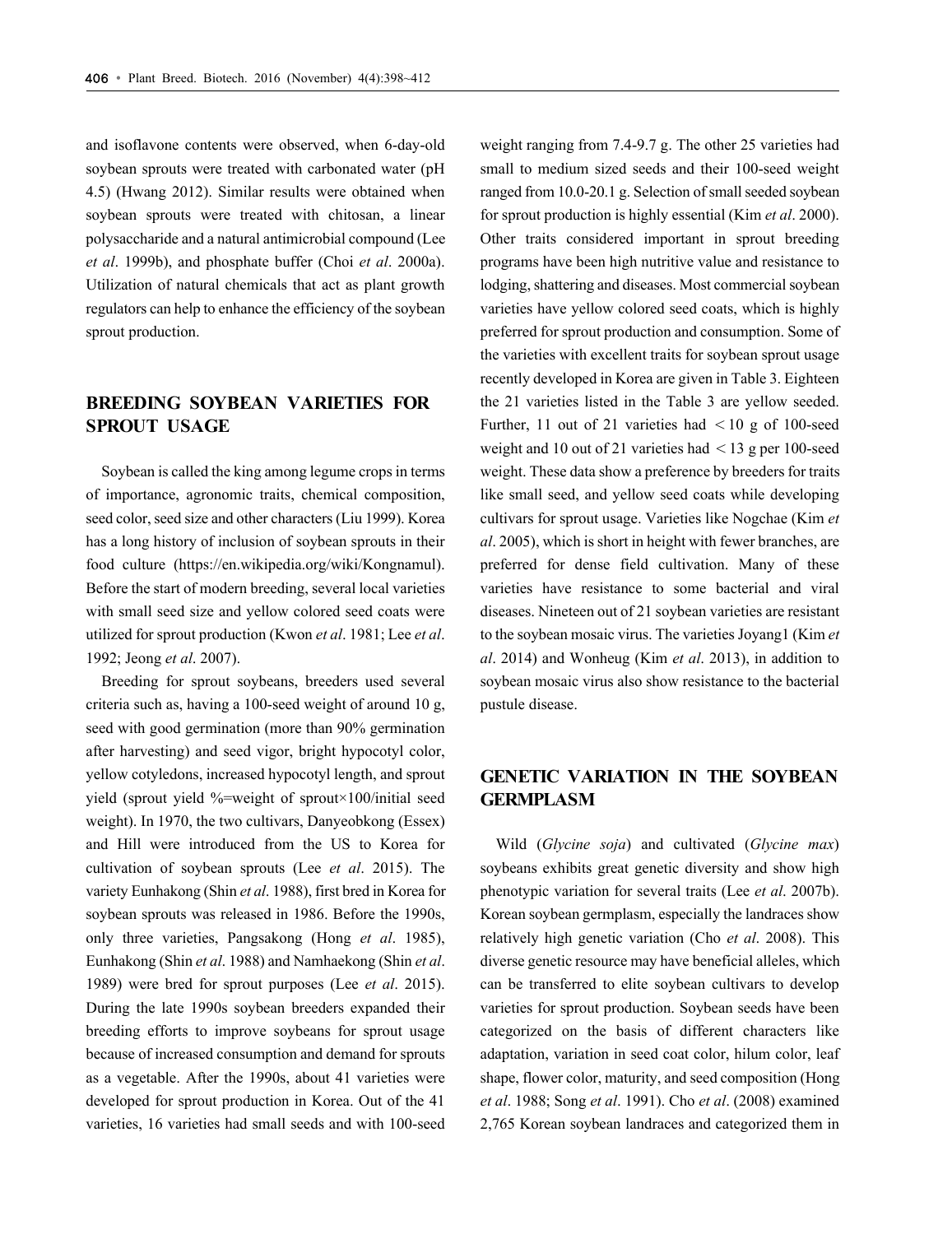and isoflavone contents were observed, when 6-day-old soybean sprouts were treated with carbonated water (pH 4.5) (Hwang 2012). Similar results were obtained when soybean sprouts were treated with chitosan, a linear polysaccharide and a natural antimicrobial compound (Lee *et al*. 1999b), and phosphate buffer (Choi *et al*. 2000a). Utilization of natural chemicals that act as plant growth regulators can help to enhance the efficiency of the soybean sprout production.

# **BREEDING SOYBEAN VARIETIES FOR SPROUT USAGE**

Soybean is called the king among legume crops in terms of importance, agronomic traits, chemical composition, seed color, seed size and other characters (Liu 1999). Korea has a long history of inclusion of soybean sprouts in their food culture (https://en.wikipedia.org/wiki/Kongnamul). Before the start of modern breeding, several local varieties with small seed size and yellow colored seed coats were utilized for sprout production (Kwon *et al*. 1981; Lee *et al*. 1992; Jeong *et al*. 2007).

Breeding for sprout soybeans, breeders used several criteria such as, having a 100-seed weight of around 10 g, seed with good germination (more than 90% germination after harvesting) and seed vigor, bright hypocotyl color, yellow cotyledons, increased hypocotyl length, and sprout yield (sprout yield %=weight of sprout×100/initial seed weight). In 1970, the two cultivars, Danyeobkong (Essex) and Hill were introduced from the US to Korea for cultivation of soybean sprouts (Lee *et al*. 2015). The variety Eunhakong (Shin *et al*. 1988), first bred in Korea for soybean sprouts was released in 1986. Before the 1990s, only three varieties, Pangsakong (Hong *et al*. 1985), Eunhakong (Shin *et al*. 1988) and Namhaekong (Shin *et al*. 1989) were bred for sprout purposes (Lee *et al*. 2015). During the late 1990s soybean breeders expanded their breeding efforts to improve soybeans for sprout usage because of increased consumption and demand for sprouts as a vegetable. After the 1990s, about 41 varieties were developed for sprout production in Korea. Out of the 41 varieties, 16 varieties had small seeds and with 100-seed

weight ranging from 7.4-9.7 g. The other 25 varieties had small to medium sized seeds and their 100-seed weight ranged from 10.0-20.1 g. Selection of small seeded soybean for sprout production is highly essential (Kim *et al*. 2000). Other traits considered important in sprout breeding programs have been high nutritive value and resistance to lodging, shattering and diseases. Most commercial soybean varieties have yellow colored seed coats, which is highly preferred for sprout production and consumption. Some of the varieties with excellent traits for soybean sprout usage recently developed in Korea are given in Table 3. Eighteen the 21 varieties listed in the Table 3 are yellow seeded. Further, 11 out of 21 varieties had  $\lt 10$  g of 100-seed weight and 10 out of 21 varieties had  $\lt 13$  g per 100-seed weight. These data show a preference by breeders for traits like small seed, and yellow seed coats while developing cultivars for sprout usage. Varieties like Nogchae (Kim *et al*. 2005), which is short in height with fewer branches, are preferred for dense field cultivation. Many of these varieties have resistance to some bacterial and viral diseases. Nineteen out of 21 soybean varieties are resistant to the soybean mosaic virus. The varieties Joyang1 (Kim *et al*. 2014) and Wonheug (Kim *et al*. 2013), in addition to soybean mosaic virus also show resistance to the bacterial pustule disease.

# **GENETIC VARIATION IN THE SOYBEAN GERMPLASM**

Wild (*Glycine soja*) and cultivated (*Glycine max*) soybeans exhibits great genetic diversity and show high phenotypic variation for several traits (Lee *et al*. 2007b). Korean soybean germplasm, especially the landraces show relatively high genetic variation (Cho *et al*. 2008). This diverse genetic resource may have beneficial alleles, which can be transferred to elite soybean cultivars to develop varieties for sprout production. Soybean seeds have been categorized on the basis of different characters like adaptation, variation in seed coat color, hilum color, leaf shape, flower color, maturity, and seed composition (Hong *et al*. 1988; Song *et al*. 1991). Cho *et al*. (2008) examined 2,765 Korean soybean landraces and categorized them in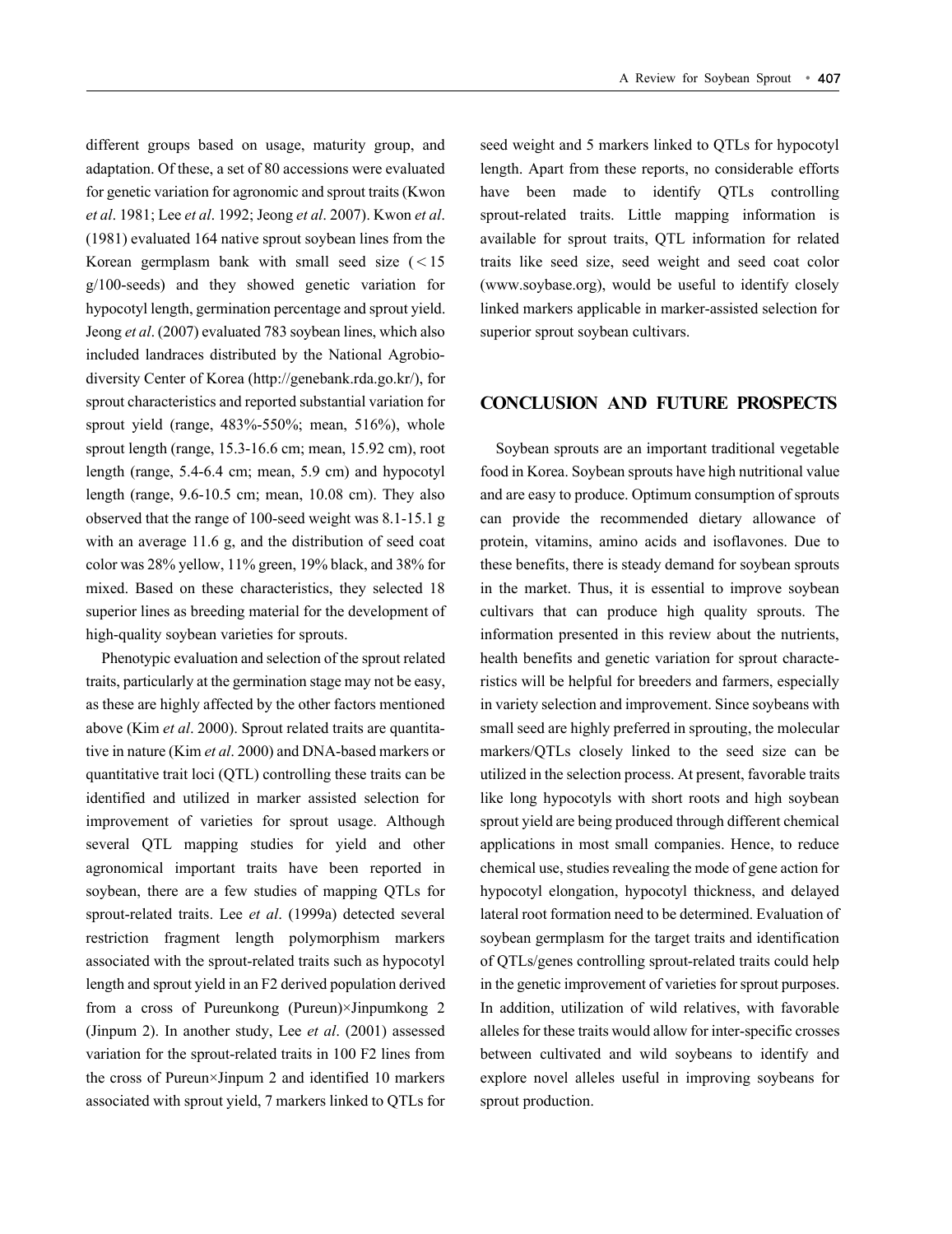different groups based on usage, maturity group, and adaptation. Of these, a set of 80 accessions were evaluated for genetic variation for agronomic and sprout traits (Kwon *et al*. 1981; Lee *et al*. 1992; Jeong *et al*. 2007). Kwon *et al*. (1981) evaluated 164 native sprout soybean lines from the Korean germplasm bank with small seed size  $(< 15$ g/100-seeds) and they showed genetic variation for hypocotyl length, germination percentage and sprout yield. Jeong *et al*. (2007) evaluated 783 soybean lines, which also included landraces distributed by the National Agrobiodiversity Center of Korea (http://genebank.rda.go.kr/), for sprout characteristics and reported substantial variation for sprout yield (range,  $483\% - 550\%$ ; mean,  $516\%$ ), whole sprout length (range, 15.3-16.6 cm; mean, 15.92 cm), root length (range, 5.4-6.4 cm; mean, 5.9 cm) and hypocotyl length (range, 9.6-10.5 cm; mean, 10.08 cm). They also observed that the range of 100-seed weight was 8.1-15.1 g with an average 11.6 g, and the distribution of seed coat color was 28% yellow, 11% green, 19% black, and 38% for mixed. Based on these characteristics, they selected 18 superior lines as breeding material for the development of high-quality soybean varieties for sprouts.

Phenotypic evaluation and selection of the sprout related traits, particularly at the germination stage may not be easy, as these are highly affected by the other factors mentioned above (Kim *et al*. 2000). Sprout related traits are quantitative in nature (Kim *et al*. 2000) and DNA-based markers or quantitative trait loci (QTL) controlling these traits can be identified and utilized in marker assisted selection for improvement of varieties for sprout usage. Although several QTL mapping studies for yield and other agronomical important traits have been reported in soybean, there are a few studies of mapping QTLs for sprout-related traits. Lee *et al*. (1999a) detected several restriction fragment length polymorphism markers associated with the sprout-related traits such as hypocotyl length and sprout yield in an F2 derived population derived from a cross of Pureunkong (Pureun)×Jinpumkong 2 (Jinpum 2). In another study, Lee *et al*. (2001) assessed variation for the sprout-related traits in 100 F2 lines from the cross of Pureun×Jinpum 2 and identified 10 markers associated with sprout yield, 7 markers linked to QTLs for

seed weight and 5 markers linked to QTLs for hypocotyl length. Apart from these reports, no considerable efforts have been made to identify OTLs controlling sprout-related traits. Little mapping information is available for sprout traits, QTL information for related traits like seed size, seed weight and seed coat color (www.soybase.org), would be useful to identify closely linked markers applicable in marker-assisted selection for superior sprout soybean cultivars.

### **CONCLUSION AND FUTURE PROSPECTS**

Soybean sprouts are an important traditional vegetable food in Korea. Soybean sprouts have high nutritional value and are easy to produce. Optimum consumption of sprouts can provide the recommended dietary allowance of protein, vitamins, amino acids and isoflavones. Due to these benefits, there is steady demand for soybean sprouts in the market. Thus, it is essential to improve soybean cultivars that can produce high quality sprouts. The information presented in this review about the nutrients, health benefits and genetic variation for sprout characteristics will be helpful for breeders and farmers, especially in variety selection and improvement. Since soybeans with small seed are highly preferred in sprouting, the molecular markers/QTLs closely linked to the seed size can be utilized in the selection process. At present, favorable traits like long hypocotyls with short roots and high soybean sprout yield are being produced through different chemical applications in most small companies. Hence, to reduce chemical use, studies revealing the mode of gene action for hypocotyl elongation, hypocotyl thickness, and delayed lateral root formation need to be determined. Evaluation of soybean germplasm for the target traits and identification of QTLs/genes controlling sprout-related traits could help in the genetic improvement of varieties for sprout purposes. In addition, utilization of wild relatives, with favorable alleles for these traits would allow for inter-specific crosses between cultivated and wild soybeans to identify and explore novel alleles useful in improving soybeans for sprout production.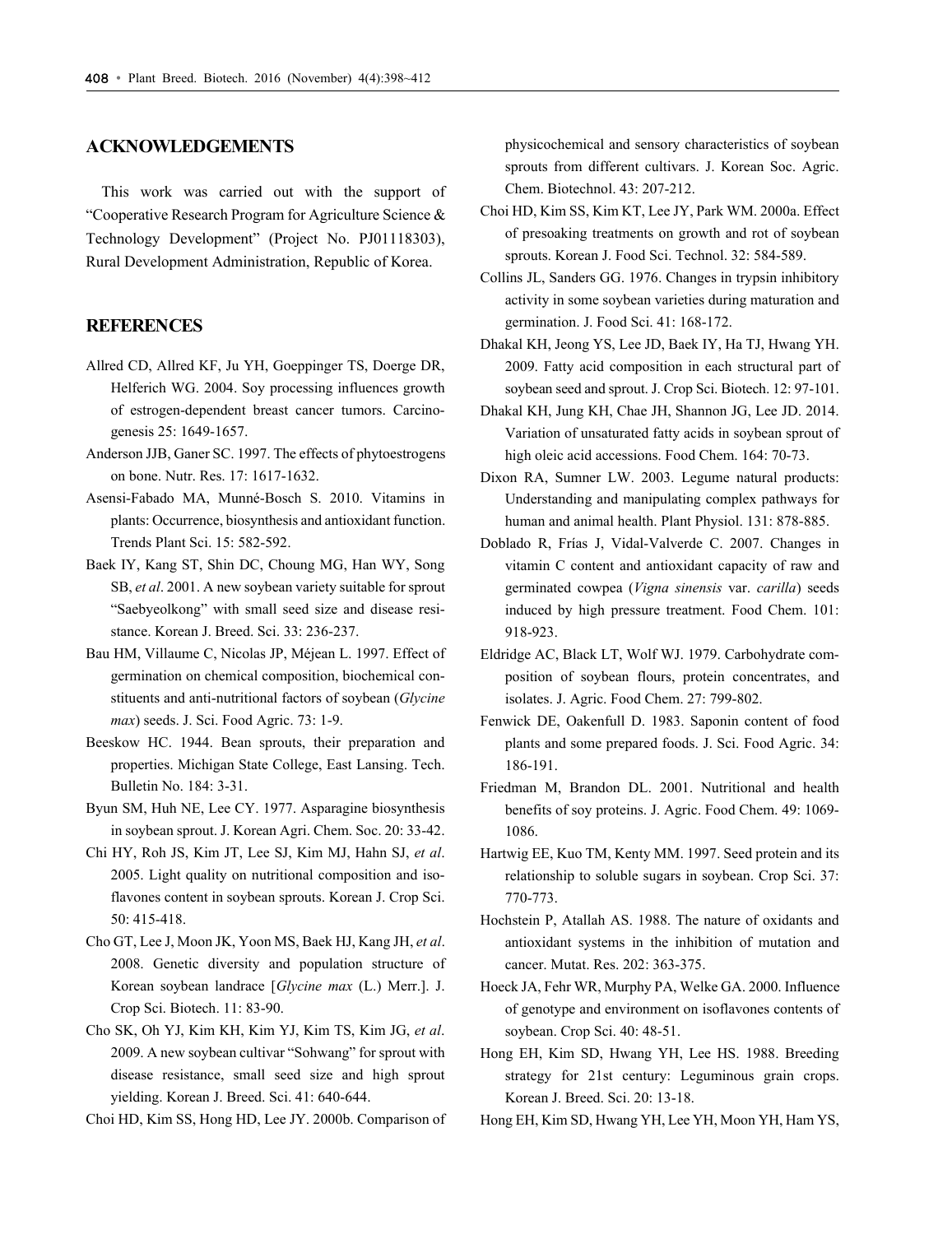#### **ACKNOWLEDGEMENTS**

This work was carried out with the support of "Cooperative Research Program for Agriculture Science & Technology Development" (Project No. PJ01118303), Rural Development Administration, Republic of Korea.

### **REFERENCES**

- Allred CD, Allred KF, Ju YH, Goeppinger TS, Doerge DR, Helferich WG. 2004. Soy processing influences growth of estrogen-dependent breast cancer tumors. Carcinogenesis 25: 1649-1657.
- Anderson JJB, Ganer SC. 1997. The effects of phytoestrogens on bone. Nutr. Res. 17: 1617-1632.
- Asensi-Fabado MA, Munné-Bosch S. 2010. Vitamins in plants: Occurrence, biosynthesis and antioxidant function. Trends Plant Sci. 15: 582-592.
- Baek IY, Kang ST, Shin DC, Choung MG, Han WY, Song SB, *et al*. 2001. A new soybean variety suitable for sprout "Saebyeolkong" with small seed size and disease resistance. Korean J. Breed. Sci. 33: 236-237.
- Bau HM, Villaume C, Nicolas JP, Méjean L. 1997. Effect of germination on chemical composition, biochemical constituents and anti-nutritional factors of soybean (*Glycine max*) seeds. J. Sci. Food Agric. 73: 1-9.
- Beeskow HC. 1944. Bean sprouts, their preparation and properties. Michigan State College, East Lansing. Tech. Bulletin No. 184: 3-31.
- Byun SM, Huh NE, Lee CY. 1977. Asparagine biosynthesis in soybean sprout. J. Korean Agri. Chem. Soc. 20: 33-42.
- Chi HY, Roh JS, Kim JT, Lee SJ, Kim MJ, Hahn SJ, *et al*. 2005. Light quality on nutritional composition and isoflavones content in soybean sprouts. Korean J. Crop Sci. 50: 415-418.
- Cho GT, Lee J, Moon JK, Yoon MS, Baek HJ, Kang JH, *et al*. 2008. Genetic diversity and population structure of Korean soybean landrace [*Glycine max* (L.) Merr.]. J. Crop Sci. Biotech. 11: 83-90.
- Cho SK, Oh YJ, Kim KH, Kim YJ, Kim TS, Kim JG, *et al*. 2009. A new soybean cultivar "Sohwang" for sprout with disease resistance, small seed size and high sprout yielding. Korean J. Breed. Sci. 41: 640-644.
- Choi HD, Kim SS, Hong HD, Lee JY. 2000b. Comparison of

physicochemical and sensory characteristics of soybean sprouts from different cultivars. J. Korean Soc. Agric. Chem. Biotechnol. 43: 207-212.

- Choi HD, Kim SS, Kim KT, Lee JY, Park WM. 2000a. Effect of presoaking treatments on growth and rot of soybean sprouts. Korean J. Food Sci. Technol. 32: 584-589.
- Collins JL, Sanders GG. 1976. Changes in trypsin inhibitory activity in some soybean varieties during maturation and germination. J. Food Sci. 41: 168-172.
- Dhakal KH, Jeong YS, Lee JD, Baek IY, Ha TJ, Hwang YH. 2009. Fatty acid composition in each structural part of soybean seed and sprout. J. Crop Sci. Biotech. 12: 97-101.
- Dhakal KH, Jung KH, Chae JH, Shannon JG, Lee JD. 2014. Variation of unsaturated fatty acids in soybean sprout of high oleic acid accessions. Food Chem. 164: 70-73.
- Dixon RA, Sumner LW. 2003. Legume natural products: Understanding and manipulating complex pathways for human and animal health. Plant Physiol. 131: 878-885.
- Doblado R, Frías J, Vidal-Valverde C. 2007. Changes in vitamin C content and antioxidant capacity of raw and germinated cowpea (*Vigna sinensis* var. *carilla*) seeds induced by high pressure treatment. Food Chem. 101: 918-923.
- Eldridge AC, Black LT, Wolf WJ. 1979. Carbohydrate composition of soybean flours, protein concentrates, and isolates. J. Agric. Food Chem. 27: 799-802.
- Fenwick DE, Oakenfull D. 1983. Saponin content of food plants and some prepared foods. J. Sci. Food Agric. 34: 186-191.
- Friedman M, Brandon DL. 2001. Nutritional and health benefits of soy proteins. J. Agric. Food Chem. 49: 1069- 1086.
- Hartwig EE, Kuo TM, Kenty MM. 1997. Seed protein and its relationship to soluble sugars in soybean. Crop Sci. 37: 770-773.
- Hochstein P, Atallah AS. 1988. The nature of oxidants and antioxidant systems in the inhibition of mutation and cancer. Mutat. Res. 202: 363-375.
- Hoeck JA, Fehr WR, Murphy PA, Welke GA. 2000. Influence of genotype and environment on isoflavones contents of soybean. Crop Sci. 40: 48-51.
- Hong EH, Kim SD, Hwang YH, Lee HS. 1988. Breeding strategy for 21st century: Leguminous grain crops. Korean J. Breed. Sci. 20: 13-18.
- Hong EH, Kim SD, Hwang YH, Lee YH, Moon YH, Ham YS,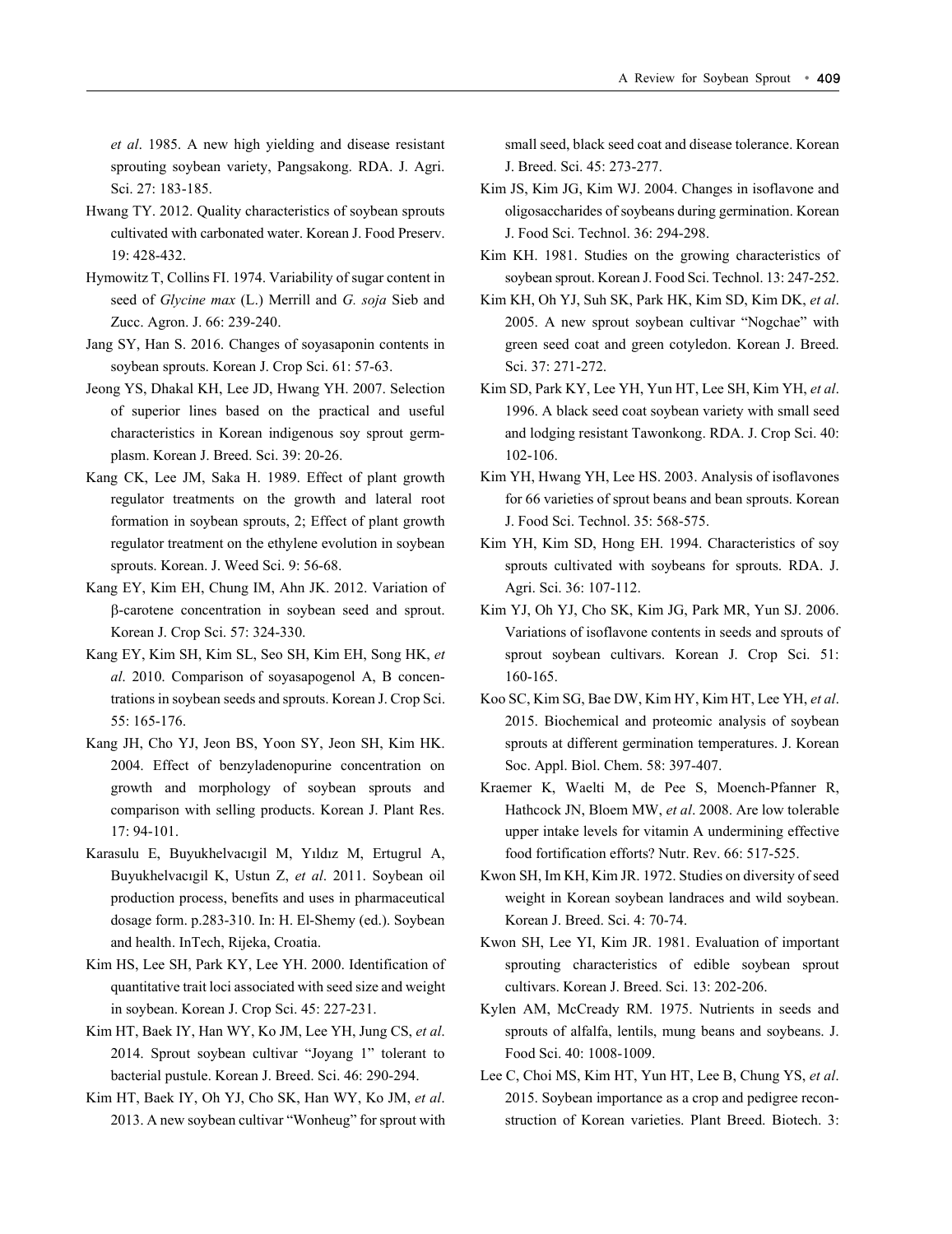*et al*. 1985. A new high yielding and disease resistant sprouting soybean variety, Pangsakong. RDA. J. Agri. Sci. 27: 183-185.

- Hwang TY. 2012. Quality characteristics of soybean sprouts cultivated with carbonated water. Korean J. Food Preserv. 19: 428-432.
- Hymowitz T, Collins FI. 1974. Variability of sugar content in seed of *Glycine max* (L.) Merrill and *G. soja* Sieb and Zucc. Agron. J. 66: 239-240.
- Jang SY, Han S. 2016. Changes of soyasaponin contents in soybean sprouts. Korean J. Crop Sci. 61: 57-63.
- Jeong YS, Dhakal KH, Lee JD, Hwang YH. 2007. Selection of superior lines based on the practical and useful characteristics in Korean indigenous soy sprout germplasm. Korean J. Breed. Sci. 39: 20-26.
- Kang CK, Lee JM, Saka H. 1989. Effect of plant growth regulator treatments on the growth and lateral root formation in soybean sprouts, 2; Effect of plant growth regulator treatment on the ethylene evolution in soybean sprouts. Korean. J. Weed Sci. 9: 56-68.
- Kang EY, Kim EH, Chung IM, Ahn JK. 2012. Variation of -carotene concentration in soybean seed and sprout. Korean J. Crop Sci. 57: 324-330.
- Kang EY, Kim SH, Kim SL, Seo SH, Kim EH, Song HK, *et al*. 2010. Comparison of soyasapogenol A, B concentrations in soybean seeds and sprouts. Korean J. Crop Sci. 55: 165-176.
- Kang JH, Cho YJ, Jeon BS, Yoon SY, Jeon SH, Kim HK. 2004. Effect of benzyladenopurine concentration on growth and morphology of soybean sprouts and comparison with selling products. Korean J. Plant Res. 17: 94-101.
- Karasulu E, Buyukhelvacıgil M, Yıldız M, Ertugrul A, Buyukhelvacıgil K, Ustun Z, *et al*. 2011. Soybean oil production process, benefits and uses in pharmaceutical dosage form. p.283-310. In: H. El-Shemy (ed.). Soybean and health. InTech, Rijeka, Croatia.
- Kim HS, Lee SH, Park KY, Lee YH. 2000. Identification of quantitative trait loci associated with seed size and weight in soybean. Korean J. Crop Sci. 45: 227-231.
- Kim HT, Baek IY, Han WY, Ko JM, Lee YH, Jung CS, *et al*. 2014. Sprout soybean cultivar "Joyang 1" tolerant to bacterial pustule. Korean J. Breed. Sci. 46: 290-294.
- Kim HT, Baek IY, Oh YJ, Cho SK, Han WY, Ko JM, *et al*. 2013. A new soybean cultivar "Wonheug" for sprout with

small seed, black seed coat and disease tolerance. Korean J. Breed. Sci. 45: 273-277.

- Kim JS, Kim JG, Kim WJ. 2004. Changes in isoflavone and oligosaccharides of soybeans during germination. Korean J. Food Sci. Technol. 36: 294-298.
- Kim KH. 1981. Studies on the growing characteristics of soybean sprout. Korean J. Food Sci. Technol. 13: 247-252.
- Kim KH, Oh YJ, Suh SK, Park HK, Kim SD, Kim DK, *et al*. 2005. A new sprout soybean cultivar "Nogchae" with green seed coat and green cotyledon. Korean J. Breed. Sci. 37: 271-272.
- Kim SD, Park KY, Lee YH, Yun HT, Lee SH, Kim YH, *et al*. 1996. A black seed coat soybean variety with small seed and lodging resistant Tawonkong. RDA. J. Crop Sci. 40: 102-106.
- Kim YH, Hwang YH, Lee HS. 2003. Analysis of isoflavones for 66 varieties of sprout beans and bean sprouts. Korean J. Food Sci. Technol. 35: 568-575.
- Kim YH, Kim SD, Hong EH. 1994. Characteristics of soy sprouts cultivated with soybeans for sprouts. RDA. J. Agri. Sci. 36: 107-112.
- Kim YJ, Oh YJ, Cho SK, Kim JG, Park MR, Yun SJ. 2006. Variations of isoflavone contents in seeds and sprouts of sprout soybean cultivars. Korean J. Crop Sci. 51: 160-165.
- Koo SC, Kim SG, Bae DW, Kim HY, Kim HT, Lee YH, *et al*. 2015. Biochemical and proteomic analysis of soybean sprouts at different germination temperatures. J. Korean Soc. Appl. Biol. Chem. 58: 397-407.
- Kraemer K, Waelti M, de Pee S, Moench-Pfanner R, Hathcock JN, Bloem MW, *et al*. 2008. Are low tolerable upper intake levels for vitamin A undermining effective food fortification efforts? Nutr. Rev. 66: 517-525.
- Kwon SH, Im KH, Kim JR. 1972. Studies on diversity of seed weight in Korean soybean landraces and wild soybean. Korean J. Breed. Sci. 4: 70-74.
- Kwon SH, Lee YI, Kim JR. 1981. Evaluation of important sprouting characteristics of edible soybean sprout cultivars. Korean J. Breed. Sci. 13: 202-206.
- Kylen AM, McCready RM. 1975. Nutrients in seeds and sprouts of alfalfa, lentils, mung beans and soybeans. J. Food Sci. 40: 1008-1009.
- Lee C, Choi MS, Kim HT, Yun HT, Lee B, Chung YS, *et al*. 2015. Soybean importance as a crop and pedigree reconstruction of Korean varieties. Plant Breed. Biotech. 3: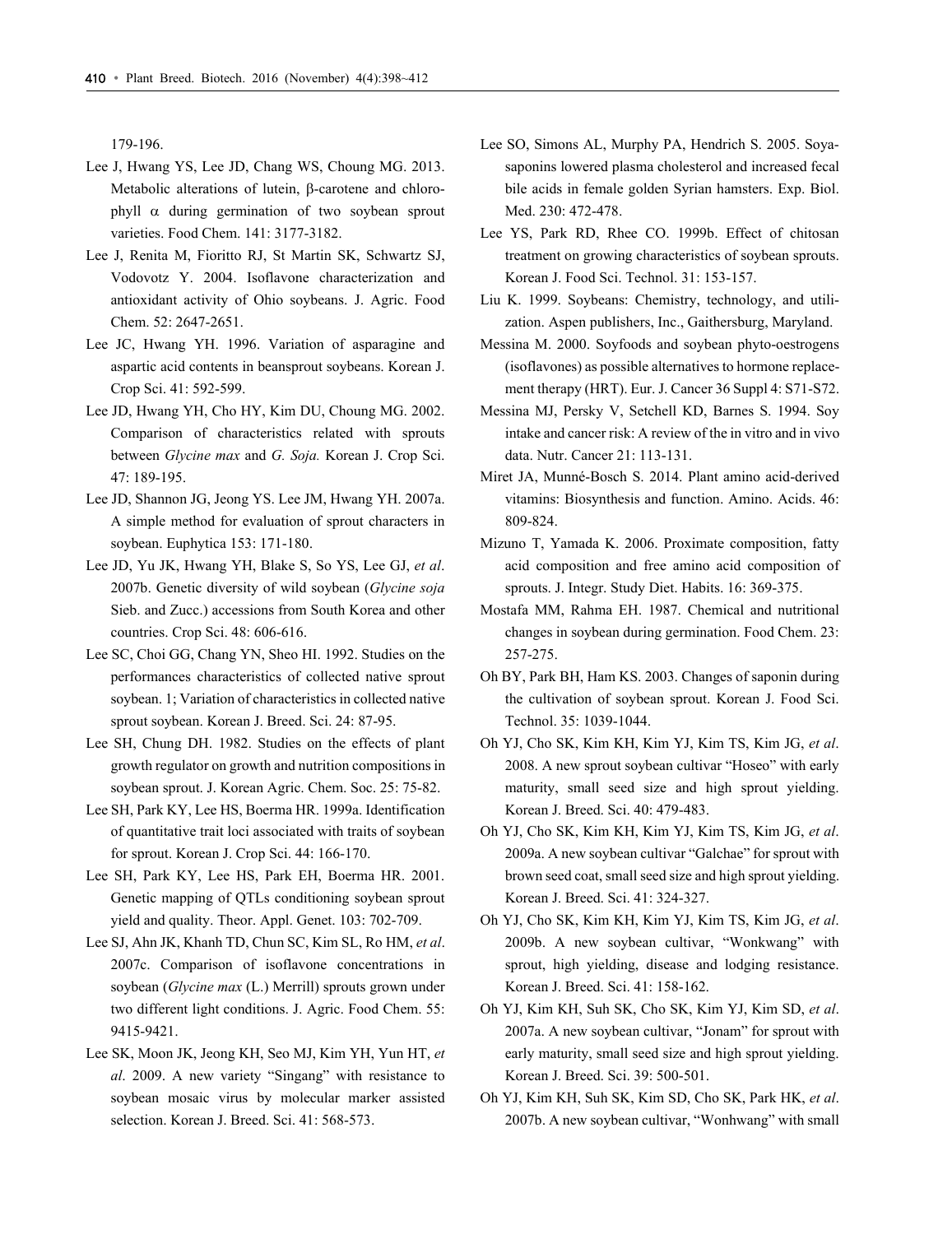179-196.

- Lee J, Hwang YS, Lee JD, Chang WS, Choung MG. 2013. Metabolic alterations of lutein, B-carotene and chlorophyll  $\alpha$  during germination of two soybean sprout varieties. Food Chem. 141: 3177-3182.
- Lee J, Renita M, Fioritto RJ, St Martin SK, Schwartz SJ, Vodovotz Y. 2004. Isoflavone characterization and antioxidant activity of Ohio soybeans. J. Agric. Food Chem. 52: 2647-2651.
- Lee JC, Hwang YH. 1996. Variation of asparagine and aspartic acid contents in beansprout soybeans. Korean J. Crop Sci. 41: 592-599.
- Lee JD, Hwang YH, Cho HY, Kim DU, Choung MG. 2002. Comparison of characteristics related with sprouts between *Glycine max* and *G. Soja.* Korean J. Crop Sci. 47: 189-195.
- Lee JD, Shannon JG, Jeong YS. Lee JM, Hwang YH. 2007a. A simple method for evaluation of sprout characters in soybean. Euphytica 153: 171-180.
- Lee JD, Yu JK, Hwang YH, Blake S, So YS, Lee GJ, *et al*. 2007b. Genetic diversity of wild soybean (*Glycine soja* Sieb. and Zucc.) accessions from South Korea and other countries. Crop Sci. 48: 606-616.
- Lee SC, Choi GG, Chang YN, Sheo HI. 1992. Studies on the performances characteristics of collected native sprout soybean. 1; Variation of characteristics in collected native sprout soybean. Korean J. Breed. Sci. 24: 87-95.
- Lee SH, Chung DH. 1982. Studies on the effects of plant growth regulator on growth and nutrition compositions in soybean sprout. J. Korean Agric. Chem. Soc. 25: 75-82.
- Lee SH, Park KY, Lee HS, Boerma HR. 1999a. Identification of quantitative trait loci associated with traits of soybean for sprout. Korean J. Crop Sci. 44: 166-170.
- Lee SH, Park KY, Lee HS, Park EH, Boerma HR. 2001. Genetic mapping of QTLs conditioning soybean sprout yield and quality. Theor. Appl. Genet. 103: 702-709.
- Lee SJ, Ahn JK, Khanh TD, Chun SC, Kim SL, Ro HM, *et al*. 2007c. Comparison of isoflavone concentrations in soybean (*Glycine max* (L.) Merrill) sprouts grown under two different light conditions. J. Agric. Food Chem. 55: 9415-9421.
- Lee SK, Moon JK, Jeong KH, Seo MJ, Kim YH, Yun HT, *et al*. 2009. A new variety "Singang" with resistance to soybean mosaic virus by molecular marker assisted selection. Korean J. Breed. Sci. 41: 568-573.
- Lee SO, Simons AL, Murphy PA, Hendrich S. 2005. Soyasaponins lowered plasma cholesterol and increased fecal bile acids in female golden Syrian hamsters. Exp. Biol. Med. 230: 472-478.
- Lee YS, Park RD, Rhee CO. 1999b. Effect of chitosan treatment on growing characteristics of soybean sprouts. Korean J. Food Sci. Technol. 31: 153-157.
- Liu K. 1999. Soybeans: Chemistry, technology, and utilization. Aspen publishers, Inc., Gaithersburg, Maryland.
- Messina M. 2000. Soyfoods and soybean phyto-oestrogens (isoflavones) as possible alternatives to hormone replacement therapy (HRT). Eur. J. Cancer 36 Suppl 4: S71-S72.
- Messina MJ, Persky V, Setchell KD, Barnes S. 1994. Soy intake and cancer risk: A review of the in vitro and in vivo data. Nutr. Cancer 21: 113-131.
- Miret JA, Munné-Bosch S. 2014. Plant amino acid-derived vitamins: Biosynthesis and function. Amino. Acids. 46: 809-824.
- Mizuno T, Yamada K. 2006. Proximate composition, fatty acid composition and free amino acid composition of sprouts. J. Integr. Study Diet. Habits. 16: 369-375.
- Mostafa MM, Rahma EH. 1987. Chemical and nutritional changes in soybean during germination. Food Chem. 23: 257-275.
- Oh BY, Park BH, Ham KS. 2003. Changes of saponin during the cultivation of soybean sprout. Korean J. Food Sci. Technol. 35: 1039-1044.
- Oh YJ, Cho SK, Kim KH, Kim YJ, Kim TS, Kim JG, *et al*. 2008. A new sprout soybean cultivar "Hoseo" with early maturity, small seed size and high sprout yielding. Korean J. Breed. Sci. 40: 479-483.
- Oh YJ, Cho SK, Kim KH, Kim YJ, Kim TS, Kim JG, *et al*. 2009a. A new soybean cultivar "Galchae" for sprout with brown seed coat, small seed size and high sprout yielding. Korean J. Breed. Sci. 41: 324-327.
- Oh YJ, Cho SK, Kim KH, Kim YJ, Kim TS, Kim JG, *et al*. 2009b. A new soybean cultivar, "Wonkwang" with sprout, high yielding, disease and lodging resistance. Korean J. Breed. Sci. 41: 158-162.
- Oh YJ, Kim KH, Suh SK, Cho SK, Kim YJ, Kim SD, *et al*. 2007a. A new soybean cultivar, "Jonam" for sprout with early maturity, small seed size and high sprout yielding. Korean J. Breed. Sci. 39: 500-501.
- Oh YJ, Kim KH, Suh SK, Kim SD, Cho SK, Park HK, *et al*. 2007b. A new soybean cultivar, "Wonhwang" with small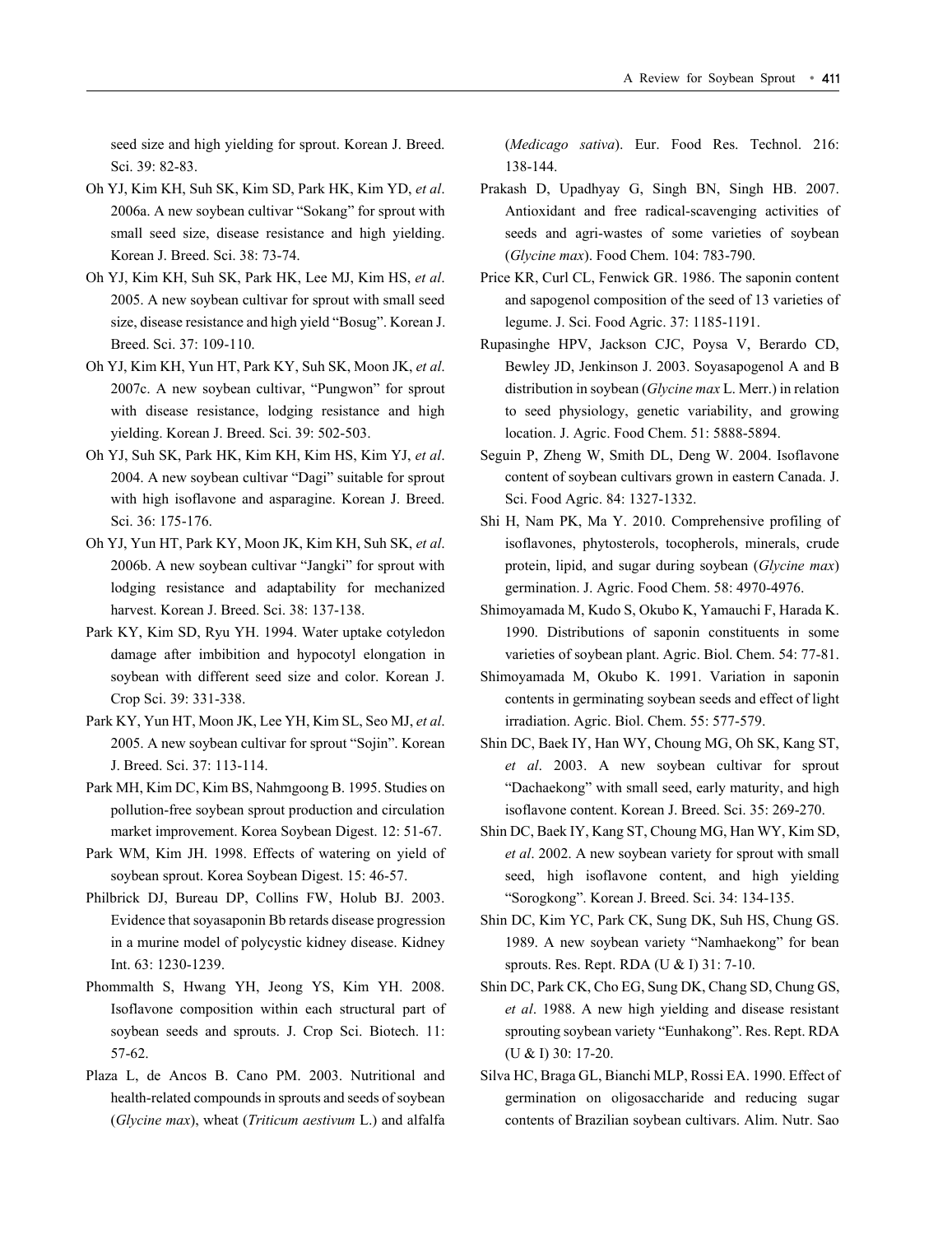seed size and high yielding for sprout. Korean J. Breed. Sci. 39: 82-83.

- Oh YJ, Kim KH, Suh SK, Kim SD, Park HK, Kim YD, *et al*. 2006a. A new soybean cultivar "Sokang" for sprout with small seed size, disease resistance and high yielding. Korean J. Breed. Sci. 38: 73-74.
- Oh YJ, Kim KH, Suh SK, Park HK, Lee MJ, Kim HS, *et al*. 2005. A new soybean cultivar for sprout with small seed size, disease resistance and high yield "Bosug". Korean J. Breed. Sci. 37: 109-110.
- Oh YJ, Kim KH, Yun HT, Park KY, Suh SK, Moon JK, *et al*. 2007c. A new soybean cultivar, "Pungwon" for sprout with disease resistance, lodging resistance and high yielding. Korean J. Breed. Sci. 39: 502-503.
- Oh YJ, Suh SK, Park HK, Kim KH, Kim HS, Kim YJ, *et al*. 2004. A new soybean cultivar "Dagi" suitable for sprout with high isoflavone and asparagine. Korean J. Breed. Sci. 36: 175-176.
- Oh YJ, Yun HT, Park KY, Moon JK, Kim KH, Suh SK, *et al*. 2006b. A new soybean cultivar "Jangki" for sprout with lodging resistance and adaptability for mechanized harvest. Korean J. Breed. Sci. 38: 137-138.
- Park KY, Kim SD, Ryu YH. 1994. Water uptake cotyledon damage after imbibition and hypocotyl elongation in soybean with different seed size and color. Korean J. Crop Sci. 39: 331-338.
- Park KY, Yun HT, Moon JK, Lee YH, Kim SL, Seo MJ, *et al*. 2005. A new soybean cultivar for sprout "Sojin". Korean J. Breed. Sci. 37: 113-114.
- Park MH, Kim DC, Kim BS, Nahmgoong B. 1995. Studies on pollution-free soybean sprout production and circulation market improvement. Korea Soybean Digest. 12: 51-67.
- Park WM, Kim JH. 1998. Effects of watering on yield of soybean sprout. Korea Soybean Digest. 15: 46-57.
- Philbrick DJ, Bureau DP, Collins FW, Holub BJ. 2003. Evidence that soyasaponin Bb retards disease progression in a murine model of polycystic kidney disease. Kidney Int. 63: 1230-1239.
- Phommalth S, Hwang YH, Jeong YS, Kim YH. 2008. Isoflavone composition within each structural part of soybean seeds and sprouts. J. Crop Sci. Biotech. 11: 57-62.
- Plaza L, de Ancos B. Cano PM. 2003. Nutritional and health-related compounds in sprouts and seeds of soybean (*Glycine max*), wheat (*Triticum aestivum* L.) and alfalfa

(*Medicago sativa*). Eur. Food Res. Technol. 216: 138-144.

- Prakash D, Upadhyay G, Singh BN, Singh HB. 2007. Antioxidant and free radical-scavenging activities of seeds and agri-wastes of some varieties of soybean (*Glycine max*). Food Chem. 104: 783-790.
- Price KR, Curl CL, Fenwick GR. 1986. The saponin content and sapogenol composition of the seed of 13 varieties of legume. J. Sci. Food Agric. 37: 1185-1191.
- Rupasinghe HPV, Jackson CJC, Poysa V, Berardo CD, Bewley JD, Jenkinson J. 2003. Soyasapogenol A and B distribution in soybean (*Glycine max* L. Merr.) in relation to seed physiology, genetic variability, and growing location. J. Agric. Food Chem. 51: 5888-5894.
- Seguin P, Zheng W, Smith DL, Deng W. 2004. Isoflavone content of soybean cultivars grown in eastern Canada. J. Sci. Food Agric. 84: 1327-1332.
- Shi H, Nam PK, Ma Y. 2010. Comprehensive profiling of isoflavones, phytosterols, tocopherols, minerals, crude protein, lipid, and sugar during soybean (*Glycine max*) germination. J. Agric. Food Chem. 58: 4970-4976.
- Shimoyamada M, Kudo S, Okubo K, Yamauchi F, Harada K. 1990. Distributions of saponin constituents in some varieties of soybean plant. Agric. Biol. Chem. 54: 77-81.
- Shimoyamada M, Okubo K. 1991. Variation in saponin contents in germinating soybean seeds and effect of light irradiation. Agric. Biol. Chem. 55: 577-579.
- Shin DC, Baek IY, Han WY, Choung MG, Oh SK, Kang ST, *et al*. 2003. A new soybean cultivar for sprout "Dachaekong" with small seed, early maturity, and high isoflavone content. Korean J. Breed. Sci. 35: 269-270.
- Shin DC, Baek IY, Kang ST, Choung MG, Han WY, Kim SD, *et al*. 2002. A new soybean variety for sprout with small seed, high isoflavone content, and high yielding "Sorogkong". Korean J. Breed. Sci. 34: 134-135.
- Shin DC, Kim YC, Park CK, Sung DK, Suh HS, Chung GS. 1989. A new soybean variety "Namhaekong" for bean sprouts. Res. Rept. RDA (U & I) 31: 7-10.
- Shin DC, Park CK, Cho EG, Sung DK, Chang SD, Chung GS, *et al*. 1988. A new high yielding and disease resistant sprouting soybean variety "Eunhakong". Res. Rept. RDA (U & I) 30: 17-20.
- Silva HC, Braga GL, Bianchi MLP, Rossi EA. 1990. Effect of germination on oligosaccharide and reducing sugar contents of Brazilian soybean cultivars. Alim. Nutr. Sao